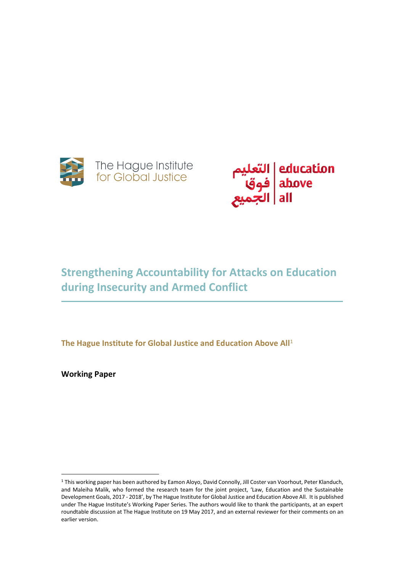



# **Strengthening Accountability for Attacks on Education during Insecurity and Armed Conflict**

**The Hague Institute for Global Justice and Education Above All**<sup>1</sup>

**Working Paper**

 $\overline{a}$ 

<sup>1</sup> This working paper has been authored by Eamon Aloyo, David Connolly, Jill Coster van Voorhout, Peter Klanduch, and Maleiha Malik, who formed the research team for the joint project, 'Law, Education and the Sustainable Development Goals, 2017 - 2018', by The Hague Institute for Global Justice and Education Above All. It is published under The Hague Institute's Working Paper Series. The authors would like to thank the participants, at an expert roundtable discussion at The Hague Institute on 19 May 2017, and an external reviewer for their comments on an earlier version.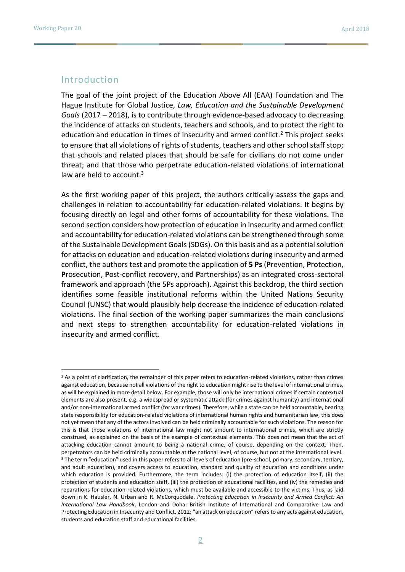## Introduction

The goal of the joint project of the Education Above All (EAA) Foundation and The Hague Institute for Global Justice, *Law, Education and the Sustainable Development Goals* (2017 – 2018), is to contribute through evidence-based advocacy to decreasing the incidence of attacks on students, teachers and schools, and to protect the right to education and education in times of insecurity and armed conflict.<sup>2</sup> This project seeks to ensure that all violations of rights of students, teachers and other school staff stop; that schools and related places that should be safe for civilians do not come under threat; and that those who perpetrate education-related violations of international law are held to account. $3$ 

As the first working paper of this project, the authors critically assess the gaps and challenges in relation to accountability for education-related violations. It begins by focusing directly on legal and other forms of accountability for these violations. The second section considers how protection of education in insecurity and armed conflict and accountability for education-related violations can be strengthened through some of the Sustainable Development Goals (SDGs). On this basis and as a potential solution for attacks on education and education-related violations during insecurity and armed conflict, the authors test and promote the application of **5 Ps** (**P**revention, **P**rotection, **P**rosecution, **P**ost-conflict recovery, and **P**artnerships) as an integrated cross-sectoral framework and approach (the 5Ps approach). Against this backdrop, the third section identifies some feasible institutional reforms within the United Nations Security Council (UNSC) that would plausibly help decrease the incidence of education-related violations. The final section of the working paper summarizes the main conclusions and next steps to strengthen accountability for education-related violations in insecurity and armed conflict.

<sup>&</sup>lt;sup>2</sup> As a point of clarification, the remainder of this paper refers to education-related violations, rather than crimes against education, because not all violations of the right to education might rise to the level of international crimes, as will be explained in more detail below. For example, those will only be international crimes if certain contextual elements are also present, e.g. a widespread or systematic attack (for crimes against humanity) and international and/or non-international armed conflict (for war crimes). Therefore, while a state can be held accountable, bearing state responsibility for education-related violations of international human rights and humanitarian law, this does not yet mean that any of the actors involved can be held criminally accountable for such violations. The reason for this is that those violations of international law might not amount to international crimes, which are strictly construed, as explained on the basis of the example of contextual elements. This does not mean that the act of attacking education cannot amount to being a national crime, of course, depending on the context. Then, perpetrators can be held criminally accountable at the national level, of course, but not at the international level. <sup>3</sup> The term "education" used in this paper refers to all levels of education (pre-school, primary, secondary, tertiary, and adult education), and covers access to education, standard and quality of education and conditions under which education is provided. Furthermore, the term includes: (i) the protection of education itself, (ii) the protection of students and education staff, (iii) the protection of educational facilities, and (iv) the remedies and reparations for education-related violations, which must be available and accessible to the victims. Thus, as laid down in K. Hausler, N. Urban and R. McCorquodale. *Protecting Education in Insecurity and Armed Conflict: An International Law Handbook*, London and Doha: British Institute of International and Comparative Law and Protecting Education in Insecurity and Conflict, 2012; "an attack on education" refers to any acts against education, students and education staff and educational facilities.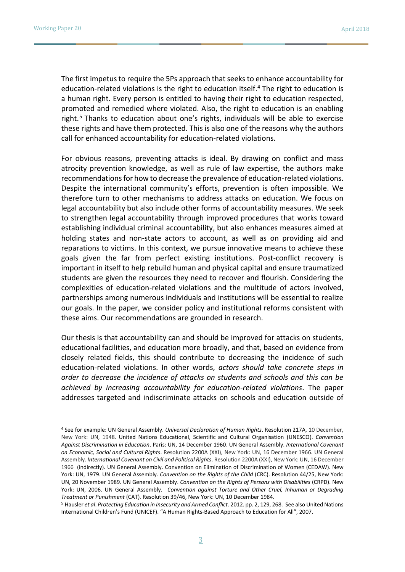The first impetus to require the 5Ps approach that seeks to enhance accountability for education-related violations is the right to education itself.<sup>4</sup> The right to education is a human right. Every person is entitled to having their right to education respected, promoted and remedied where violated. Also, the right to education is an enabling right.<sup>5</sup> Thanks to education about one's rights, individuals will be able to exercise these rights and have them protected. This is also one of the reasons why the authors call for enhanced accountability for education-related violations.

For obvious reasons, preventing attacks is ideal. By drawing on conflict and mass atrocity prevention knowledge, as well as rule of law expertise, the authors make recommendations for how to decrease the prevalence of education-related violations. Despite the international community's efforts, prevention is often impossible. We therefore turn to other mechanisms to address attacks on education. We focus on legal accountability but also include other forms of accountability measures. We seek to strengthen legal accountability through improved procedures that works toward establishing individual criminal accountability, but also enhances measures aimed at holding states and non-state actors to account, as well as on providing aid and reparations to victims. In this context, we pursue innovative means to achieve these goals given the far from perfect existing institutions. Post-conflict recovery is important in itself to help rebuild human and physical capital and ensure traumatized students are given the resources they need to recover and flourish. Considering the complexities of education-related violations and the multitude of actors involved, partnerships among numerous individuals and institutions will be essential to realize our goals. In the paper, we consider policy and institutional reforms consistent with these aims. Our recommendations are grounded in research.

Our thesis is that accountability can and should be improved for attacks on students, educational facilities, and education more broadly, and that, based on evidence from closely related fields, this should contribute to decreasing the incidence of such education-related violations. In other words, *actors should take concrete steps in order to decrease the incidence of attacks on students and schools and this can be achieved by increasing accountability for education-related violations*. The paper addresses targeted and indiscriminate attacks on schools and education outside of

<sup>4</sup> See for example: UN General Assembly. *Universal Declaration of Human Rights*. Resolution 217A, 10 December, New York: UN, 1948. United Nations Educational, Scientific and Cultural Organisation (UNESCO). *Convention Against Discrimination in Education*. Paris: UN, 14 December 1960. UN General Assembly. *International Covenant on Economic, Social and Cultural Rights*. Resolution 2200A (XXI), New York: UN, 16 December 1966. UN General Assembly. *International Covenant on Civil and Political Rights*. Resolution 2200A (XXI), New York: UN, 16 December 1966 (indirectly). UN General Assembly. Convention on Elimination of Discrimination of Women (CEDAW). New York: UN, 1979. UN General Assembly. *Convention on the Rights of the Child* (CRC). Resolution 44/25, New York: UN, 20 November 1989. UN General Assembly. *Convention on the Rights of Persons with Disabilities* (CRPD). New York: UN, 2006. UN General Assembly. *Convention against Torture and Other Cruel, Inhuman or Degrading Treatment or Punishment* (CAT)*.* Resolution 39/46, New York: UN, 10 December 1984.

<sup>5</sup> Hausler *et al*. *Protecting Education in Insecurity and Armed Conflict*. 2012. pp. 2, 129, 268. See also United Nations International Children's Fund (UNICEF). "A Human Rights-Based Approach to Education for All", 2007.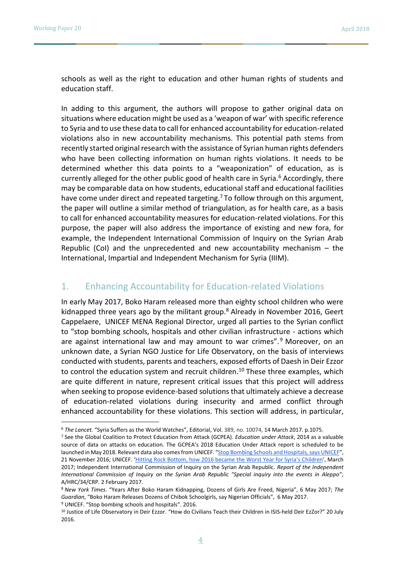schools as well as the right to education and other human rights of students and education staff.

In adding to this argument, the authors will propose to gather original data on situations where education might be used as a 'weapon of war' with specific reference to Syria and to use these data to call for enhanced accountability for education-related violations also in new accountability mechanisms. This potential path stems from recently started original research with the assistance of Syrian human rights defenders who have been collecting information on human rights violations. It needs to be determined whether this data points to a "weaponization" of education, as is currently alleged for the other public good of health care in Syria.<sup>6</sup> Accordingly, there may be comparable data on how students, educational staff and educational facilities have come under direct and repeated targeting.<sup>7</sup> To follow through on this argument, the paper will outline a similar method of triangulation, as for health care, as a basis to call for enhanced accountability measures for education-related violations. For this purpose, the paper will also address the importance of existing and new fora, for example, the Independent International Commission of Inquiry on the Syrian Arab Republic (CoI) and the unprecedented and new accountability mechanism  $-$  the International, Impartial and Independent Mechanism for Syria (IIIM).

# 1. Enhancing Accountability for Education-related Violations

In early May 2017, Boko Haram released more than eighty school children who were kidnapped three years ago by the militant group.<sup>8</sup> Already in November 2016, Geert Cappelaere, UNICEF MENA Regional Director, urged all parties to the Syrian conflict to "stop bombing schools, hospitals and other civilian infrastructure - actions which are against international law and may amount to war crimes".<sup>9</sup> Moreover, on an unknown date, a Syrian NGO Justice for Life Observatory, on the basis of interviews conducted with students, parents and teachers, exposed efforts of Daesh in Deir Ezzor to control the education system and recruit children.<sup>10</sup> These three examples, which are quite different in nature, represent critical issues that this project will address when seeking to propose evidence-based solutions that ultimately achieve a decrease of education-related violations during insecurity and armed conflict through enhanced accountability for these violations. This section will address, in particular,

<sup>6</sup> *The Lancet*. "Syria Suffers as the World Watches", Editorial, Vol. 389, no. 10074, 14 March 2017. p.1075.

<sup>7</sup> See the Global Coalition to Protect Education from Attack (GCPEA). *Education under Attack*, 2014 as a valuable source of data on attacks on education. The GCPEA's 2018 Education Under Attack report is scheduled to be launched in May 2018. Relevant data also comes from UNICEF. "[Stop Bombing Schools and Hospitals, says UNICEF](https://www.unicef.org/media/media_93337.html)", 21 November 2016; UNICEF. ['Hitting Rock Bottom, how 2016 became the Worst Year for Syria's C](https://www.unicef.org/media/media_95077.html)hildren', March 2017; Independent International Commission of Inquiry on the Syrian Arab Republic. *Report of the Independent International Commission of Inquiry on the Syrian Arab Republic "Special inquiry into the events in Aleppo"*, A/HRC/34/CRP. 2 February 2017.

<sup>8</sup> *New York Times*. "Years After Boko Haram Kidnapping, Dozens of Girls Are Freed, Nigeria", 6 May 2017; *The Guardian*, "Boko Haram Releases Dozens of Chibok Schoolgirls, say Nigerian Officials", 6 May 2017. <sup>9</sup> UNICEF. "Stop bombing schools and hospitals". 2016.

<sup>10</sup> Justice of Life Observatory in Deir Ezzor. "How do Civilians Teach their Children in ISIS-held Deir EzZor?" 20 July 2016.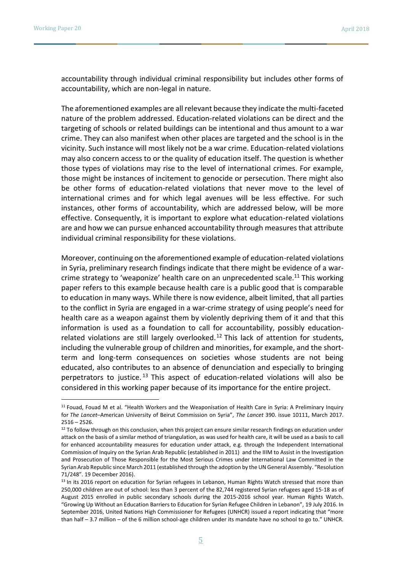accountability through individual criminal responsibility but includes other forms of accountability, which are non-legal in nature.

The aforementioned examples are all relevant because they indicate the multi-faceted nature of the problem addressed. Education-related violations can be direct and the targeting of schools or related buildings can be intentional and thus amount to a war crime. They can also manifest when other places are targeted and the school is in the vicinity. Such instance will most likely not be a war crime. Education-related violations may also concern access to or the quality of education itself. The question is whether those types of violations may rise to the level of international crimes. For example, those might be instances of incitement to genocide or persecution. There might also be other forms of education-related violations that never move to the level of international crimes and for which legal avenues will be less effective. For such instances, other forms of accountability, which are addressed below, will be more effective. Consequently, it is important to explore what education-related violations are and how we can pursue enhanced accountability through measures that attribute individual criminal responsibility for these violations.

Moreover, continuing on the aforementioned example of education-related violations in Syria, preliminary research findings indicate that there might be evidence of a warcrime strategy to 'weaponize' health care on an unprecedented scale.<sup>11</sup> This working paper refers to this example because health care is a public good that is comparable to education in many ways. While there is now evidence, albeit limited, that all parties to the conflict in Syria are engaged in a war-crime strategy of using people's need for health care as a weapon against them by violently depriving them of it and that this information is used as a foundation to call for accountability, possibly educationrelated violations are still largely overlooked.<sup>12</sup> This lack of attention for students, including the vulnerable group of children and minorities, for example, and the shortterm and long-term consequences on societies whose students are not being educated, also contributes to an absence of denunciation and especially to bringing perpetrators to justice. <sup>13</sup> This aspect of education-related violations will also be considered in this working paper because of its importance for the entire project.

<sup>11</sup> Fouad, Fouad M et al. "Health Workers and the Weaponisation of Health Care in Syria: A Preliminary Inquiry for *The Lancet*–American University of Beirut Commission on Syria", *The Lancet* 390. issue 10111, March 2017.  $2516 - 2526$ .

 $12$  To follow through on this conclusion, when this project can ensure similar research findings on education under attack on the basis of a similar method of triangulation, as was used for health care, it will be used as a basis to call for enhanced accountability measures for education under attack, e.g. through the Independent International Commission of Inquiry on the Syrian Arab Republic (established in 2011) and the IIIM to Assist in the Investigation and Prosecution of Those Responsible for the Most Serious Crimes under International Law Committed in the Syrian Arab Republic since March 2011 (established through the adoption by the UN General Assembly. "Resolution 71/248". 19 December 2016).

<sup>&</sup>lt;sup>13</sup> In its 2016 report on education for Syrian refugees in Lebanon, Human Rights Watch stressed that more than 250,000 children are out of school: less than 3 percent of the 82,744 registered Syrian refugees aged 15-18 as of August 2015 enrolled in public secondary schools during the 2015-2016 school year. Human Rights Watch. "Growing Up Without an Education Barriers to Education for Syrian Refugee Children in Lebanon", 19 July 2016. In September 2016, United Nations High Commissioner for Refugees (UNHCR) issued a report indicating that "more than half – 3.7 million – of the 6 million school-age children under its mandate have no school to go to." UNHCR.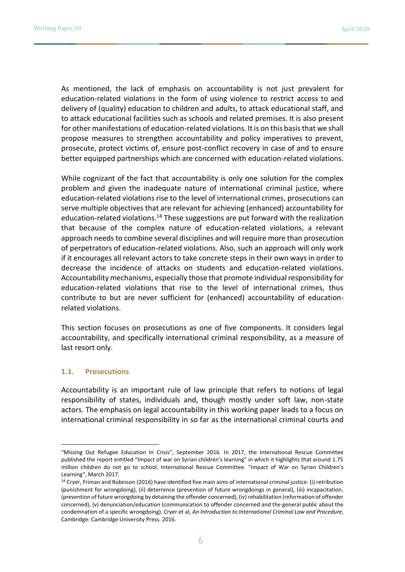As mentioned, the lack of emphasis on accountability is not just prevalent for education-related violations in the form of using violence to restrict access to and delivery of (quality) education to children and adults, to attack educational staff, and to attack educational facilities such as schools and related premises. It is also present for other manifestations of education-related violations. It is on this basis that we shall propose measures to strengthen accountability and policy imperatives to prevent, prosecute, protect victims of, ensure post-conflict recovery in case of and to ensure better equipped partnerships which are concerned with education-related violations.

While cognizant of the fact that accountability is only one solution for the complex problem and given the inadequate nature of international criminal justice, where education-related violations rise to the level of international crimes, prosecutions can serve multiple objectives that are relevant for achieving (enhanced) accountability for education-related violations.<sup>14</sup> These suggestions are put forward with the realization that because of the complex nature of education-related violations, a relevant approach needs to combine several disciplines and will require more than prosecution of perpetrators of education-related violations. Also, such an approach will only work if it encourages all relevant actors to take concrete steps in their own ways in order to decrease the incidence of attacks on students and education-related violations. Accountability mechanisms, especially those that promote individual responsibility for education-related violations that rise to the level of international crimes, thus contribute to but are never sufficient for (enhanced) accountability of educationrelated violations.

This section focuses on prosecutions as one of five components. It considers legal accountability, and specifically international criminal responsibility, as a measure of last resort only.

#### **1.1. Prosecutions**

 $\overline{a}$ 

Accountability is an important rule of law principle that refers to notions of legal responsibility of states, individuals and, though mostly under soft law, non-state actors. The emphasis on legal accountability in this working paper leads to a focus on international criminal responsibility in so far as the international criminal courts and

<sup>&</sup>quot;Missing Out Refugee Education In Crisis", September 2016. In 2017, the International Rescue Committee published the report entitled "Impact of war on Syrian children's learning" in which it highlights that around 1.75 million children do not go to school. International Rescue Committee. "Impact of War on Syrian Children's Learning", March 2017[.](https://www.rescue.org/sites/default/files/document/1434/educationreportlearninglevelssyrianchildrenfinal.pdf)

<sup>14</sup> Cryer, Friman and Robinson (2016) have identified five main aims of international criminal justice: (i) retribution (punishment for wrongdoing), (ii) deterrence (prevention of future wrongdoings in general), (iii) incapacitation, (prevention of future wrongdoing by detaining the offender concerned), (iv) rehabilitation (reformation of offender concerned), (v) denunciation/education (communication to offender concerned and the general public about the condemnation of a specific wrongdoing). Cryer et al, *An Introduction to International Criminal Law and Procedure*, Cambridge: Cambridge University Press. 2016.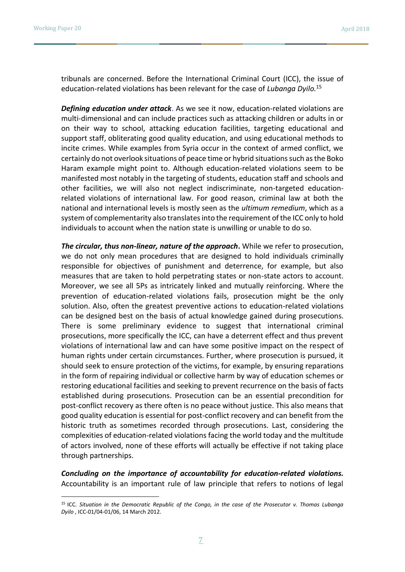tribunals are concerned. Before the International Criminal Court (ICC), the issue of education-related violations has been relevant for the case of *Lubanga Dyilo.*<sup>15</sup>

*Defining education under attack*. As we see it now, education-related violations are multi-dimensional and can include practices such as attacking children or adults in or on their way to school, attacking education facilities, targeting educational and support staff, obliterating good quality education, and using educational methods to incite crimes. While examples from Syria occur in the context of armed conflict, we certainly do not overlook situations of peace time or hybrid situations such as the Boko Haram example might point to. Although education-related violations seem to be manifested most notably in the targeting of students, education staff and schools and other facilities, we will also not neglect indiscriminate, non-targeted educationrelated violations of international law. For good reason, criminal law at both the national and international levels is mostly seen as the *ultimum remedium*, which as a system of complementarity also translates into the requirement of the ICC only to hold individuals to account when the nation state is unwilling or unable to do so.

*The circular, thus non-linear, nature of the approach***.** While we refer to prosecution, we do not only mean procedures that are designed to hold individuals criminally responsible for objectives of punishment and deterrence, for example, but also measures that are taken to hold perpetrating states or non-state actors to account. Moreover, we see all 5Ps as intricately linked and mutually reinforcing. Where the prevention of education-related violations fails, prosecution might be the only solution. Also, often the greatest preventive actions to education-related violations can be designed best on the basis of actual knowledge gained during prosecutions. There is some preliminary evidence to suggest that international criminal prosecutions, more specifically the ICC, can have a deterrent effect and thus prevent violations of international law and can have some positive impact on the respect of human rights under certain circumstances. Further, where prosecution is pursued, it should seek to ensure protection of the victims, for example, by ensuring reparations in the form of repairing individual or collective harm by way of education schemes or restoring educational facilities and seeking to prevent recurrence on the basis of facts established during prosecutions. Prosecution can be an essential precondition for post-conflict recovery as there often is no peace without justice. This also means that good quality education is essential for post-conflict recovery and can benefit from the historic truth as sometimes recorded through prosecutions. Last, considering the complexities of education-related violations facing the world today and the multitude of actors involved, none of these efforts will actually be effective if not taking place through partnerships.

*Concluding on the importance of accountability for education-related violations.* Accountability is an important rule of law principle that refers to notions of legal

<sup>15</sup> ICC. *Situation in the Democratic Republic of the Congo, in the case of the Prosecutor v. Thomas Lubanga Dyilo* , ICC-01/04-01/06, 14 March 2012.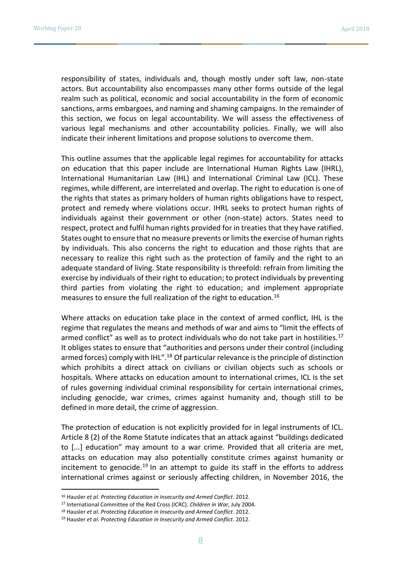responsibility of states, individuals and, though mostly under soft law, non-state actors. But accountability also encompasses many other forms outside of the legal realm such as political, economic and social accountability in the form of economic sanctions, arms embargoes, and naming and shaming campaigns. In the remainder of this section, we focus on legal accountability. We will assess the effectiveness of various legal mechanisms and other accountability policies. Finally, we will also indicate their inherent limitations and propose solutions to overcome them.

This outline assumes that the applicable legal regimes for accountability for attacks on education that this paper include are International Human Rights Law (IHRL), International Humanitarian Law (IHL) and International Criminal Law (ICL). These regimes, while different, are interrelated and overlap. The right to education is one of the rights that states as primary holders of human rights obligations have to respect, protect and remedy where violations occur. IHRL seeks to protect human rights of individuals against their government or other (non-state) actors. States need to respect, protect and fulfil human rights provided for in treaties that they have ratified. States ought to ensure that no measure prevents or limits the exercise of human rights by individuals. This also concerns the right to education and those rights that are necessary to realize this right such as the protection of family and the right to an adequate standard of living. State responsibility is threefold: refrain from limiting the exercise by individuals of their right to education; to protect individuals by preventing third parties from violating the right to education; and implement appropriate measures to ensure the full realization of the right to education.<sup>16</sup>

Where attacks on education take place in the context of armed conflict, IHL is the regime that regulates the means and methods of war and aims to "limit the effects of armed conflict" as well as to protect individuals who do not take part in hostilities.<sup>17</sup> It obliges states to ensure that "authorities and persons under their control (including armed forces) comply with IHL".<sup>18</sup> Of particular relevance is the principle of distinction which prohibits a direct attack on civilians or civilian objects such as schools or hospitals. Where attacks on education amount to international crimes, ICL is the set of rules governing individual criminal responsibility for certain international crimes, including genocide, war crimes, crimes against humanity and, though still to be defined in more detail, the crime of aggression.

The protection of education is not explicitly provided for in legal instruments of ICL. Article 8 (2) of the Rome Statute indicates that an attack against "buildings dedicated to [...] education" may amount to a war crime. Provided that all criteria are met, attacks on education may also potentially constitute crimes against humanity or incitement to genocide.<sup>19</sup> In an attempt to guide its staff in the efforts to address international crimes against or seriously affecting children, in November 2016, the

 $\overline{a}$ 

<sup>16</sup> Hausler *et al*. *Protecting Education in Insecurity and Armed Conflict*. 2012.

<sup>17</sup> International Committee of the Red Cross (ICRC). *Children in War*, July 2004.

<sup>18</sup> Hausler *et al*. *Protecting Education in Insecurity and Armed Conflict*. 2012.

<sup>19</sup> Hausler *et al*. *Protecting Education in Insecurity and Armed Conflict*. 2012.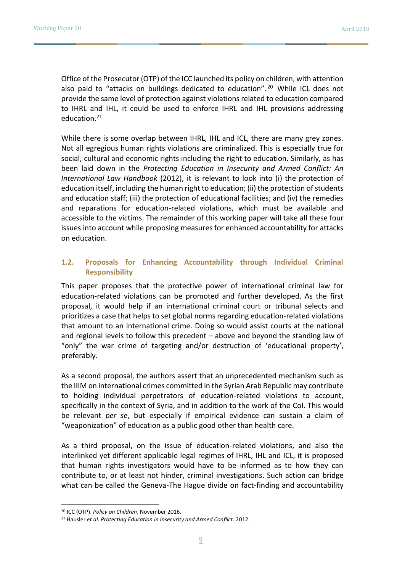Office of the Prosecutor (OTP) of the ICC launched its policy on children, with attention also paid to "attacks on buildings dedicated to education".<sup>20</sup> While ICL does not provide the same level of protection against violations related to education compared to IHRL and IHL, it could be used to enforce IHRL and IHL provisions addressing education.<sup>21</sup>

While there is some overlap between IHRL, IHL and ICL, there are many grey zones. Not all egregious human rights violations are criminalized. This is especially true for social, cultural and economic rights including the right to education. Similarly, as has been laid down in the *Protecting Education in Insecurity and Armed Conflict: An International Law Handbook* (2012), it is relevant to look into (i) the protection of education itself, including the human right to education; (ii) the protection of students and education staff; (iii) the protection of educational facilities; and (iv) the remedies and reparations for education-related violations, which must be available and accessible to the victims. The remainder of this working paper will take all these four issues into account while proposing measures for enhanced accountability for attacks on education.

### **1.2. Proposals for Enhancing Accountability through Individual Criminal Responsibility**

This paper proposes that the protective power of international criminal law for education-related violations can be promoted and further developed. As the first proposal, it would help if an international criminal court or tribunal selects and prioritizes a case that helps to set global norms regarding education-related violations that amount to an international crime. Doing so would assist courts at the national and regional levels to follow this precedent – above and beyond the standing law of "only" the war crime of targeting and/or destruction of 'educational property', preferably.

As a second proposal, the authors assert that an unprecedented mechanism such as the IIIM on international crimes committed in the Syrian Arab Republic may contribute to holding individual perpetrators of education-related violations to account, specifically in the context of Syria, and in addition to the work of the CoI. This would be relevant *per se*, but especially if empirical evidence can sustain a claim of "weaponization" of education as a public good other than health care.

As a third proposal, on the issue of education-related violations, and also the interlinked yet different applicable legal regimes of IHRL, IHL and ICL, it is proposed that human rights investigators would have to be informed as to how they can contribute to, or at least not hinder, criminal investigations. Such action can bridge what can be called the Geneva-The Hague divide on fact-finding and accountability

 $\overline{a}$ 

<sup>20</sup> ICC (OTP). *Policy on Children*, November 2016.

<sup>21</sup> Hausler *et al*. *Protecting Education in Insecurity and Armed Conflict*. 2012.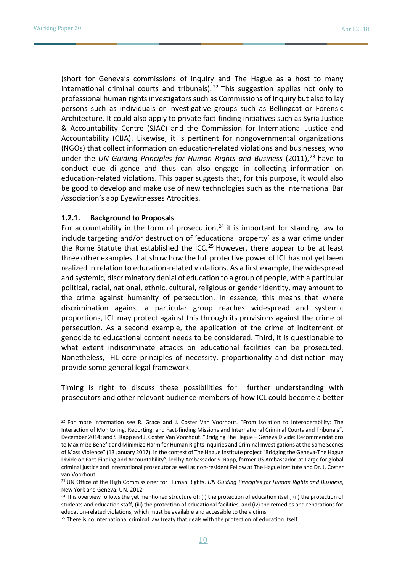(short for Geneva's commissions of inquiry and The Hague as a host to many international criminal courts and tribunals).<sup>22</sup> This suggestion applies not only to professional human rights investigators such as Commissions of Inquiry but also to lay persons such as individuals or investigative groups such as Bellingcat or Forensic Architecture. It could also apply to private fact-finding initiatives such as Syria Justice & Accountability Centre (SJAC) and the Commission for International Justice and Accountability (CIJA). Likewise, it is pertinent for nongovernmental organizations (NGOs) that collect information on education-related violations and businesses, who under the *UN Guiding Principles for Human Rights and Business* (2011), <sup>23</sup> have to conduct due diligence and thus can also engage in collecting information on education-related violations. This paper suggests that, for this purpose, it would also be good to develop and make use of new technologies such as the International Bar Association's app Eyewitnesses Atrocities.

#### **1.2.1. Background to Proposals**

For accountability in the form of prosecution, $24$  it is important for standing law to include targeting and/or destruction of 'educational property' as a war crime under the Rome Statute that established the ICC.<sup>25</sup> However, there appear to be at least three other examples that show how the full protective power of ICL has not yet been realized in relation to education-related violations. As a first example, the widespread and systemic, discriminatory denial of education to a group of people, with a particular political, racial, national, ethnic, cultural, religious or gender identity, may amount to the crime against humanity of persecution. In essence, this means that where discrimination against a particular group reaches widespread and systemic proportions, ICL may protect against this through its provisions against the crime of persecution. As a second example, the application of the crime of incitement of genocide to educational content needs to be considered. Third, it is questionable to what extent indiscriminate attacks on educational facilities can be prosecuted. Nonetheless, IHL core principles of necessity, proportionality and distinction may provide some general legal framework.

Timing is right to discuss these possibilities for further understanding with prosecutors and other relevant audience members of how ICL could become a better

<sup>&</sup>lt;sup>22</sup> For more information see R. Grace and J. Coster Van Voorhout. "From Isolation to Interoperability: The Interaction of Monitoring, Reporting, and Fact-finding Missions and International Criminal Courts and Tribunals", December 2014; and S. Rapp and J. Coster Van Voorhout. "Bridging The Hague – Geneva Divide: Recommendations to Maximize Benefit and Minimize Harm for Human Rights Inquiries and Criminal Investigations at the Same Scenes of Mass Violence" (13 January 2017), in the context of The Hague Institute project "Bridging the Geneva-The Hague Divide on Fact-Finding and Accountability", led by Ambassador S. Rapp, former US Ambassador-at-Large for global criminal justice and international prosecutor as well as non-resident Fellow at The Hague Institute and Dr. J. Coster van Voorhout.

<sup>23</sup> UN Office of the High Commissioner for Human Rights. *UN Guiding Principles for Human Rights and Business*, New York and Geneva: UN. 2012.

 $24$  This overview follows the yet mentioned structure of: (i) the protection of education itself, (ii) the protection of students and education staff, (iii) the protection of educational facilities, and (iv) the remedies and reparations for education-related violations, which must be available and accessible to the victims.

<sup>&</sup>lt;sup>25</sup> There is no international criminal law treaty that deals with the protection of education itself.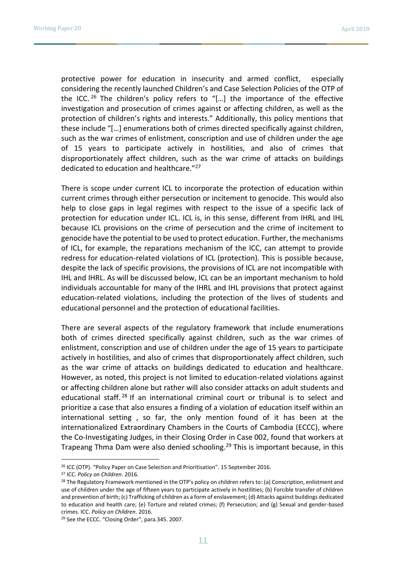protective power for education in insecurity and armed conflict, especially considering the recently launched Children's and Case Selection Policies of the OTP of the ICC.  $^{26}$  The children's policy refers to "[...] the importance of the effective investigation and prosecution of crimes against or affecting children, as well as the protection of children's rights and interests." Additionally, this policy mentions that these include "[…] enumerations both of crimes directed specifically against children, such as the war crimes of enlistment, conscription and use of children under the age of 15 years to participate actively in hostilities, and also of crimes that disproportionately affect children, such as the war crime of attacks on buildings dedicated to education and healthcare."<sup>27</sup>

There is scope under current ICL to incorporate the protection of education within current crimes through either persecution or incitement to genocide. This would also help to close gaps in legal regimes with respect to the issue of a specific lack of protection for education under ICL. ICL is, in this sense, different from IHRL and IHL because ICL provisions on the crime of persecution and the crime of incitement to genocide have the potential to be used to protect education. Further, the mechanisms of ICL, for example, the reparations mechanism of the ICC, can attempt to provide redress for education-related violations of ICL (protection). This is possible because, despite the lack of specific provisions, the provisions of ICL are not incompatible with IHL and IHRL. As will be discussed below, ICL can be an important mechanism to hold individuals accountable for many of the IHRL and IHL provisions that protect against education-related violations, including the protection of the lives of students and educational personnel and the protection of educational facilities.

There are several aspects of the regulatory framework that include enumerations both of crimes directed specifically against children, such as the war crimes of enlistment, conscription and use of children under the age of 15 years to participate actively in hostilities, and also of crimes that disproportionately affect children, such as the war crime of attacks on buildings dedicated to education and healthcare. However, as noted, this project is not limited to education-related violations against or affecting children alone but rather will also consider attacks on adult students and educational staff.<sup>28</sup> If an international criminal court or tribunal is to select and prioritize a case that also ensures a finding of a violation of education itself within an international setting , so far, the only mention found of it has been at the internationalized Extraordinary Chambers in the Courts of Cambodia (ECCC), where the Co-Investigating Judges, in their Closing Order in Case 002, found that workers at Trapeang Thma Dam were also denied schooling.<sup>29</sup> This is important because, in this

 $\overline{a}$ 

<sup>26</sup> ICC (OTP). "Policy Paper on Case Selection and Prioritisation". 15 September 2016.

<sup>27</sup> ICC. *Policy on Children*. 2016.

<sup>&</sup>lt;sup>28</sup> The Regulatory Framework mentioned in the OTP's policy on children refers to: (a) Conscription, enlistment and use of children under the age of fifteen years to participate actively in hostilities; (b) Forcible transfer of children and prevention of birth; (c) Trafficking of children as a form of enslavement; (d) Attacks against buildings dedicated to education and health care; (e) Torture and related crimes; (f) Persecution; and (g) Sexual and gender-based crimes. ICC. *Policy on Children*. 2016.

<sup>29</sup> See the ECCC. "Closing Order", para.345. 2007.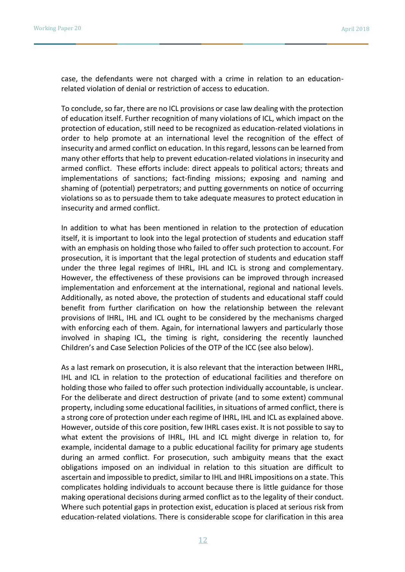case, the defendants were not charged with a crime in relation to an educationrelated violation of denial or restriction of access to education.

To conclude, so far, there are no ICL provisions or case law dealing with the protection of education itself. Further recognition of many violations of ICL, which impact on the protection of education, still need to be recognized as education-related violations in order to help promote at an international level the recognition of the effect of insecurity and armed conflict on education. In this regard, lessons can be learned from many other efforts that help to prevent education-related violations in insecurity and armed conflict. These efforts include: direct appeals to political actors; threats and implementations of sanctions; fact-finding missions; exposing and naming and shaming of (potential) perpetrators; and putting governments on notice of occurring violations so as to persuade them to take adequate measures to protect education in insecurity and armed conflict.

In addition to what has been mentioned in relation to the protection of education itself, it is important to look into the legal protection of students and education staff with an emphasis on holding those who failed to offer such protection to account. For prosecution, it is important that the legal protection of students and education staff under the three legal regimes of IHRL, IHL and ICL is strong and complementary. However, the effectiveness of these provisions can be improved through increased implementation and enforcement at the international, regional and national levels. Additionally, as noted above, the protection of students and educational staff could benefit from further clarification on how the relationship between the relevant provisions of IHRL, IHL and ICL ought to be considered by the mechanisms charged with enforcing each of them. Again, for international lawyers and particularly those involved in shaping ICL, the timing is right, considering the recently launched Children's and Case Selection Policies of the OTP of the ICC (see also below).

As a last remark on prosecution, it is also relevant that the interaction between IHRL, IHL and ICL in relation to the protection of educational facilities and therefore on holding those who failed to offer such protection individually accountable, is unclear. For the deliberate and direct destruction of private (and to some extent) communal property, including some educational facilities, in situations of armed conflict, there is a strong core of protection under each regime of IHRL, IHL and ICL as explained above. However, outside of this core position, few IHRL cases exist. It is not possible to say to what extent the provisions of IHRL, IHL and ICL might diverge in relation to, for example, incidental damage to a public educational facility for primary age students during an armed conflict. For prosecution, such ambiguity means that the exact obligations imposed on an individual in relation to this situation are difficult to ascertain and impossible to predict, similar to IHL and IHRL impositions on a state. This complicates holding individuals to account because there is little guidance for those making operational decisions during armed conflict as to the legality of their conduct. Where such potential gaps in protection exist, education is placed at serious risk from education-related violations. There is considerable scope for clarification in this area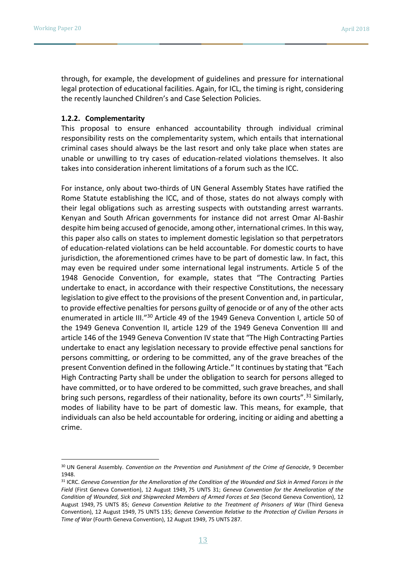through, for example, the development of guidelines and pressure for international legal protection of educational facilities. Again, for ICL, the timing is right, considering the recently launched Children's and Case Selection Policies.

#### **1.2.2. Complementarity**

This proposal to ensure enhanced accountability through individual criminal responsibility rests on the complementarity system, which entails that international criminal cases should always be the last resort and only take place when states are unable or unwilling to try cases of education-related violations themselves. It also takes into consideration inherent limitations of a forum such as the ICC.

For instance, only about two-thirds of UN General Assembly States have ratified the Rome Statute establishing the ICC, and of those, states do not always comply with their legal obligations such as arresting suspects with outstanding arrest warrants. Kenyan and South African governments for instance did not arrest Omar Al-Bashir despite him being accused of genocide, among other, international crimes. In this way, this paper also calls on states to implement domestic legislation so that perpetrators of education-related violations can be held accountable. For domestic courts to have jurisdiction, the aforementioned crimes have to be part of domestic law. In fact, this may even be required under some international legal instruments. Article 5 of the 1948 Genocide Convention, for example, states that "The Contracting Parties undertake to enact, in accordance with their respective Constitutions, the necessary legislation to give effect to the provisions of the present Convention and, in particular, to provide effective penalties for persons guilty of genocide or of any of the other acts enumerated in article III."<sup>30</sup> Article 49 of the 1949 Geneva Convention I, article 50 of the 1949 Geneva Convention II, article 129 of the 1949 Geneva Convention III and article 146 of the 1949 Geneva Convention IV state that "The High Contracting Parties undertake to enact any legislation necessary to provide effective penal sanctions for persons committing, or ordering to be committed, any of the grave breaches of the present Convention defined in the following Article." It continues by stating that "Each High Contracting Party shall be under the obligation to search for persons alleged to have committed, or to have ordered to be committed, such grave breaches, and shall bring such persons, regardless of their nationality, before its own courts".<sup>31</sup> Similarly, modes of liability have to be part of domestic law. This means, for example, that individuals can also be held accountable for ordering, inciting or aiding and abetting a crime.

<sup>30</sup> UN General Assembly. *Convention on the Prevention and Punishment of the Crime of Genocide*, 9 December 1948.

<sup>31</sup> ICRC. *Geneva Convention for the Amelioration of the Condition of the Wounded and Sick in Armed Forces in the Field* (First Geneva Convention), 12 August 1949, 75 UNTS 31; *Geneva Convention for the Amelioration of the Condition of Wounded, Sick and Shipwrecked Members of Armed Forces at Sea* (Second Geneva Convention), 12 August 1949, 75 UNTS 85; *Geneva Convention Relative to the Treatment of Prisoners of War* (Third Geneva Convention), 12 August 1949, 75 UNTS 135; *Geneva Convention Relative to the Protection of Civilian Persons in Time of War* (Fourth Geneva Convention), 12 August 1949, 75 UNTS 287.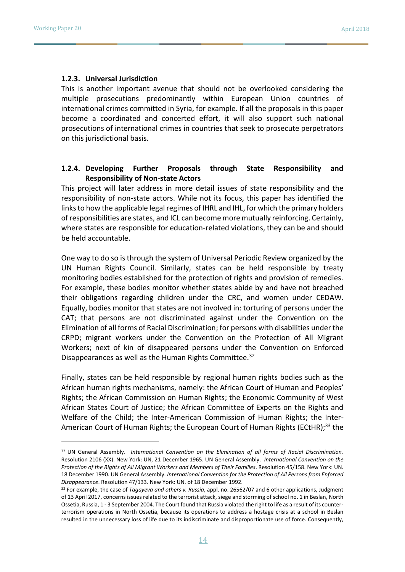#### **1.2.3. Universal Jurisdiction**

This is another important avenue that should not be overlooked considering the multiple prosecutions predominantly within European Union countries of international crimes committed in Syria, for example. If all the proposals in this paper become a coordinated and concerted effort, it will also support such national prosecutions of international crimes in countries that seek to prosecute perpetrators on this jurisdictional basis.

#### **1.2.4. Developing Further Proposals through State Responsibility and Responsibility of Non-state Actors**

This project will later address in more detail issues of state responsibility and the responsibility of non-state actors. While not its focus, this paper has identified the links to how the applicable legal regimes of IHRL and IHL, for which the primary holders of responsibilities are states, and ICL can become more mutually reinforcing. Certainly, where states are responsible for education-related violations, they can be and should be held accountable.

One way to do so is through the system of Universal Periodic Review organized by the UN Human Rights Council. Similarly, states can be held responsible by treaty monitoring bodies established for the protection of rights and provision of remedies. For example, these bodies monitor whether states abide by and have not breached their obligations regarding children under the CRC, and women under CEDAW. Equally, bodies monitor that states are not involved in: torturing of persons under the CAT; that persons are not discriminated against under the Convention on the Elimination of all forms of Racial Discrimination; for persons with disabilities under the CRPD; migrant workers under the Convention on the Protection of All Migrant Workers; next of kin of disappeared persons under the Convention on Enforced Disappearances as well as the Human Rights Committee.<sup>32</sup>

Finally, states can be held responsible by regional human rights bodies such as the African human rights mechanisms, namely: the African Court of Human and Peoples' Rights; the African Commission on Human Rights; the Economic Community of West African States Court of Justice; the African Committee of Experts on the Rights and Welfare of the Child; the Inter-American Commission of Human Rights; the Inter-American Court of Human Rights; the European Court of Human Rights (ECtHR);<sup>33</sup> the

<sup>32</sup> UN General Assembly. *International Convention on the Elimination of all forms of Racial Discrimination.*  Resolution 2106 (XX). New York: UN, 21 December 1965. UN General Assembly. *International Convention on the Protection of the Rights of All Migrant Workers and Members of Their Families*. Resolution 45/158. New York: UN. 18 December 1990. UN General Assembly. *International Convention for the Protection of All Persons from Enforced Disappearance*. Resolution 47/133. New York: UN. of 18 December 1992.

<sup>33</sup> For example, the case of *Tagayeva and others v. Russia*, appl. no. 26562/07 and 6 other applications, Judgment of 13 April 2017, concerns issues related to the terrorist attack, siege and storming of school no. 1 in Beslan, North Ossetia, Russia, 1 - 3 September 2004. The Court found that Russia violated the right to life as a result of its counterterrorism operations in North Ossetia, because its operations to address a hostage crisis at a school in Beslan resulted in the unnecessary loss of life due to its indiscriminate and disproportionate use of force. Consequently,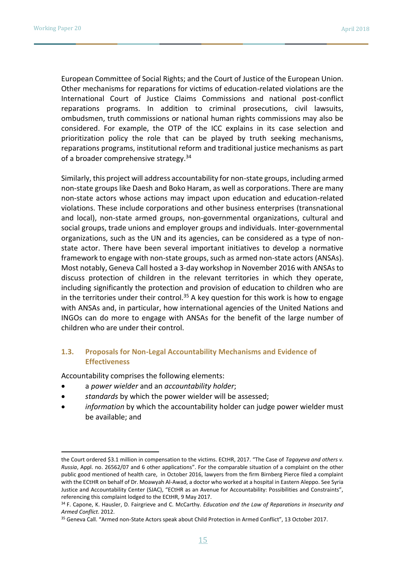European Committee of Social Rights; and the Court of Justice of the European Union. Other mechanisms for reparations for victims of education-related violations are the International Court of Justice Claims Commissions and national post-conflict reparations programs. In addition to criminal prosecutions, civil lawsuits, ombudsmen, truth commissions or national human rights commissions may also be considered. For example, the OTP of the ICC explains in its case selection and prioritization policy the role that can be played by truth seeking mechanisms, reparations programs, institutional reform and traditional justice mechanisms as part of a broader comprehensive strategy.<sup>34</sup>

Similarly, this project will address accountability for non-state groups, including armed non-state groups like Daesh and Boko Haram, as well as corporations. There are many non-state actors whose actions may impact upon education and education-related violations. These include corporations and other business enterprises (transnational and local), non-state armed groups, non-governmental organizations, cultural and social groups, trade unions and employer groups and individuals. Inter-governmental organizations, such as the UN and its agencies, can be considered as a type of nonstate actor. There have been several important initiatives to develop a normative framework to engage with non-state groups, such as armed non-state actors (ANSAs). Most notably, Geneva Call hosted a 3-day workshop in November 2016 with ANSAs to discuss protection of children in the relevant territories in which they operate, including significantly the protection and provision of education to children who are in the territories under their control.<sup>35</sup> A key question for this work is how to engage with ANSAs and, in particular, how international agencies of the United Nations and INGOs can do more to engage with ANSAs for the benefit of the large number of children who are under their control.

### **1.3. Proposals for Non-Legal Accountability Mechanisms and Evidence of Effectiveness**

Accountability comprises the following elements:

- a *power wielder* and an *accountability holder*;
- *standards* by which the power wielder will be assessed;
- *information* by which the accountability holder can judge power wielder must be available; and

the Court ordered \$3.1 million in compensation to the victims. ECtHR, 2017. "The Case of *Tagayeva and others v. Russia*, Appl. no. 26562/07 and 6 other applications". For the comparable situation of a complaint on the other public good mentioned of health care, in October 2016, lawyers from the firm Birnberg Pierce filed a complaint with the ECtHR on behalf of Dr. Moawyah Al-Awad, a doctor who worked at a hospital in Eastern Aleppo. See Syria Justice and Accountability Center (SJAC), "ECtHR as an Avenue for Accountability: Possibilities and Constraints", referencing this complaint lodged to the ECtHR, 9 May 2017.

<sup>34</sup> F. Capone, K. Hausler, D. Fairgrieve and C. McCarthy. *Education and the Law of Reparations in Insecurity and Armed Conflict*. 2012.

<sup>35</sup> Geneva Call. "Armed non-State Actors speak about Child Protection in Armed Conflict", 13 October 2017.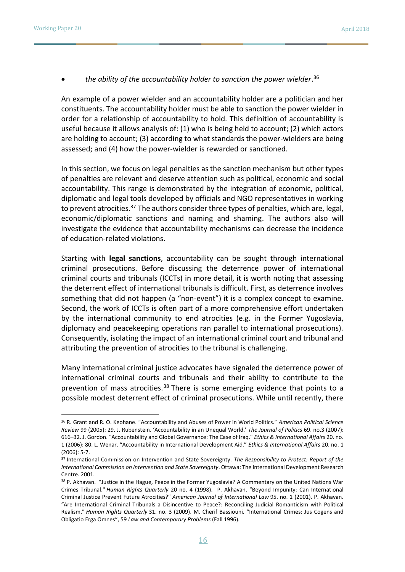## *the ability of the accountability holder to sanction the power wielder*. 36

An example of a power wielder and an accountability holder are a politician and her constituents. The accountability holder must be able to sanction the power wielder in order for a relationship of accountability to hold. This definition of accountability is useful because it allows analysis of: (1) who is being held to account; (2) which actors are holding to account; (3) according to what standards the power-wielders are being assessed; and (4) how the power-wielder is rewarded or sanctioned.

In this section, we focus on legal penalties as the sanction mechanism but other types of penalties are relevant and deserve attention such as political, economic and social accountability. This range is demonstrated by the integration of economic, political, diplomatic and legal tools developed by officials and NGO representatives in working to prevent atrocities.<sup>37</sup> The authors consider three types of penalties, which are, legal, economic/diplomatic sanctions and naming and shaming. The authors also will investigate the evidence that accountability mechanisms can decrease the incidence of education-related violations.

Starting with **legal sanctions**, accountability can be sought through international criminal prosecutions. Before discussing the deterrence power of international criminal courts and tribunals (ICCTs) in more detail, it is worth noting that assessing the deterrent effect of international tribunals is difficult. First, as deterrence involves something that did not happen (a "non-event") it is a complex concept to examine. Second, the work of ICCTs is often part of a more comprehensive effort undertaken by the international community to end atrocities (e.g. in the Former Yugoslavia, diplomacy and peacekeeping operations ran parallel to international prosecutions). Consequently, isolating the impact of an international criminal court and tribunal and attributing the prevention of atrocities to the tribunal is challenging.

Many international criminal justice advocates have signaled the deterrence power of international criminal courts and tribunals and their ability to contribute to the prevention of mass atrocities.<sup>38</sup> There is some emerging evidence that points to a possible modest deterrent effect of criminal prosecutions. While until recently, there

<sup>36</sup> R. Grant and R. O. Keohane. "Accountability and Abuses of Power in World Politics." *American Political Science Review* 99 (2005): 29. J. Rubenstein. 'Accountability in an Unequal World.' *The Journal of Politics* 69. no.3 (2007): 616–32. J. Gordon. "Accountability and Global Governance: The Case of Iraq." *Ethics & International Affairs* 20. no. 1 (2006): 80. L. Wenar. "Accountability in International Development Aid." *Ethics & International Affairs* 20. no. 1 (2006): 5-7.

<sup>37</sup> International Commission on Intervention and State Sovereignty. *The Responsibility to Protect: Report of the International Commission on Intervention and State Sovereignty*. Ottawa: The International Development Research Centre. 2001.

<sup>38</sup> P. Akhavan. "Justice in the Hague, Peace in the Former Yugoslavia? A Commentary on the United Nations War Crimes Tribunal." *Human Rights Quarterly* 20 no. 4 (1998). P. Akhavan. "Beyond Impunity: Can International Criminal Justice Prevent Future Atrocities?" *American Journal of International Law* 95. no. 1 (2001). P. Akhavan. "Are International Criminal Tribunals a Disincentive to Peace?: Reconciling Judicial Romanticism with Political Realism." *Human Rights Quarterly* 31. no. 3 (2009). M. Cherif Bassiouni. "International Crimes: Jus Cogens and Obligatio Erga Omnes", 59 *Law and Contemporary Problems* (Fall 1996).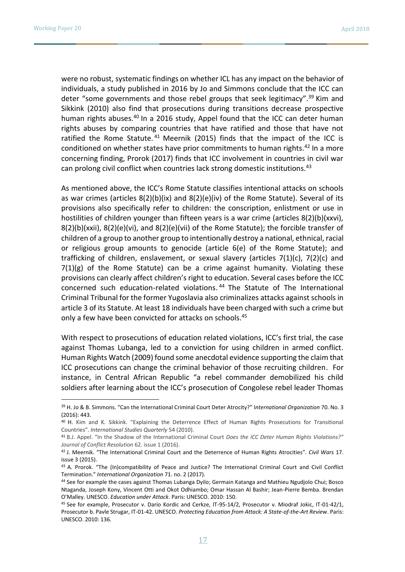were no robust, systematic findings on whether ICL has any impact on the behavior of individuals, a study published in 2016 by Jo and Simmons conclude that the ICC can deter "some governments and those rebel groups that seek legitimacy".<sup>39</sup> Kim and Sikkink (2010) also find that prosecutions during transitions decrease prospective human rights abuses.<sup>40</sup> In a 2016 study, Appel found that the ICC can deter human rights abuses by comparing countries that have ratified and those that have not ratified the Rome Statute.  $41$  Meernik (2015) finds that the impact of the ICC is conditioned on whether states have prior commitments to human rights.<sup>42</sup> In a more concerning finding, Prorok (2017) finds that ICC involvement in countries in civil war can prolong civil conflict when countries lack strong domestic institutions.<sup>43</sup>

As mentioned above, the ICC's Rome Statute classifies intentional attacks on schools as war crimes (articles  $8(2)(b)(ix)$  and  $8(2)(e)(iv)$  of the Rome Statute). Several of its provisions also specifically refer to children: the conscription, enlistment or use in hostilities of children younger than fifteen years is a war crime (articles 8(2)(b)(xxvi),  $8(2)(b)(xxi)$ ,  $8(2)(e)(vi)$ , and  $8(2)(e)(vii)$  of the Rome Statute); the forcible transfer of children of a group to another group to intentionally destroy a national, ethnical, racial or religious group amounts to genocide (article 6(e) of the Rome Statute); and trafficking of children, enslavement, or sexual slavery (articles  $7(1)(c)$ ,  $7(2)(c)$  and  $7(1)(g)$  of the Rome Statute) can be a crime against humanity. Violating these provisions can clearly affect children's right to education. Several cases before the ICC concerned such education-related violations. <sup>44</sup> The Statute of The International Criminal Tribunal for the former Yugoslavia also criminalizes attacks against schools in article 3 of its Statute. At least 18 individuals have been charged with such a crime but only a few have been convicted for attacks on schools.<sup>45</sup>

With respect to prosecutions of education related violations, ICC's first trial, the case against Thomas Lubanga, led to a conviction for using children in armed conflict. Human Rights Watch (2009) found some anecdotal evidence supporting the claim that ICC prosecutions can change the criminal behavior of those recruiting children. For instance, in Central African Republic "a rebel commander demobilized his child soldiers after learning about the ICC's prosecution of Congolese rebel leader Thomas

<sup>39</sup> H. Jo & B. Simmons. "Can the International Criminal Court Deter Atrocity?" I*nternational Organization* 70. No. 3 (2016): 443.

<sup>40</sup> H. Kim and K. Sikkink. "Explaining the Deterrence Effect of Human Rights Prosecutions for Transitional Countries". *International Studies Quarterly* 54 (2010).

<sup>41</sup> B.J. Appel. "In the Shadow of the International Criminal Court *Does the ICC Deter Human Rights Violations?" Journal of Conflict Resolution* 62. issue 1 (2016).

<sup>42</sup> J. Meernik. "The International Criminal Court and the Deterrence of Human Rights Atrocities". *Civil Wars* 17. issue 3 (2015).

<sup>&</sup>lt;sup>43</sup> A. Prorok. "The (In)compatibility of Peace and Justice? The International Criminal Court and Civil Conflict Termination." *International Organization* 71. no. 2 (2017).

<sup>44</sup> See for example the cases against Thomas Lubanga Dyilo; Germain Katanga and Mathieu Ngudjolo Chui; Bosco Ntaganda, Joseph Kony, Vincent Otti and Okot Odhiambo; Omar Hassan Al Bashir; Jean-Pierre Bemba. Brendan O'Malley. UNESCO. *Education under Attack*. Paris: UNESCO. 2010: 150.

<sup>45</sup> See for example, Prosecutor v. Dario Kordic and Cerkze, IT-95-14/2, Prosecutor v. Miodraf Jokic, IT-01-42/1, Prosecutor b. Pavle Strugar, IT-01-42. UNESCO. *Protecting Education from Attack: A State-of-the-Art Review*. Paris: UNESCO. 2010: 136.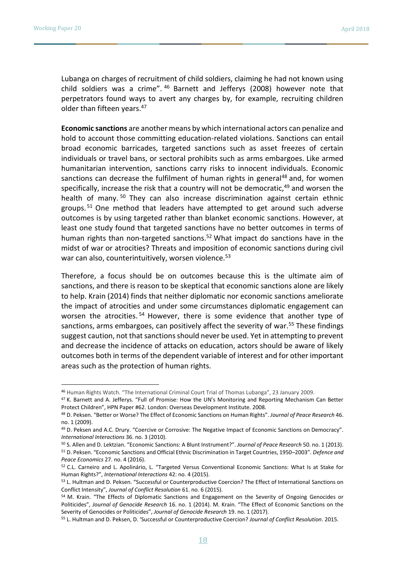Lubanga on charges of recruitment of child soldiers, claiming he had not known using child soldiers was a crime". <sup>46</sup> Barnett and Jefferys (2008) however note that perpetrators found ways to avert any charges by, for example, recruiting children older than fifteen years.<sup>47</sup>

**Economic sanctions** are another means by which international actors can penalize and hold to account those committing education-related violations. Sanctions can entail broad economic barricades, targeted sanctions such as asset freezes of certain individuals or travel bans, or sectoral prohibits such as arms embargoes. Like armed humanitarian intervention, sanctions carry risks to innocent individuals. Economic sanctions can decrease the fulfilment of human rights in general<sup>48</sup> and, for women specifically, increase the risk that a country will not be democratic, $49$  and worsen the health of many.<sup>50</sup> They can also increase discrimination against certain ethnic groups.  $51$  One method that leaders have attempted to get around such adverse outcomes is by using targeted rather than blanket economic sanctions. However, at least one study found that targeted sanctions have no better outcomes in terms of human rights than non-targeted sanctions.<sup>52</sup> What impact do sanctions have in the midst of war or atrocities? Threats and imposition of economic sanctions during civil war can also, counterintuitively, worsen violence.<sup>53</sup>

Therefore, a focus should be on outcomes because this is the ultimate aim of sanctions, and there is reason to be skeptical that economic sanctions alone are likely to help. Krain (2014) finds that neither diplomatic nor economic sanctions ameliorate the impact of atrocities and under some circumstances diplomatic engagement can worsen the atrocities.<sup>54</sup> However, there is some evidence that another type of sanctions, arms embargoes, can positively affect the severity of war.<sup>55</sup> These findings suggest caution, not that sanctions should never be used. Yet in attempting to prevent and decrease the incidence of attacks on education, actors should be aware of likely outcomes both in terms of the dependent variable of interest and for other important areas such as the protection of human rights.

<sup>46</sup> Human Rights Watch. "The International Criminal Court Trial of Thomas Lubanga", 23 January 2009.

<sup>47</sup> K. Barnett and A. Jefferys. "Full of Promise: How the UN's Monitoring and Reporting Mechanism Can Better Protect Children", HPN Paper #62. London: Overseas Development Institute. 2008.

<sup>48</sup> D. Peksen. "Better or Worse? The Effect of Economic Sanctions on Human Rights". *Journal of Peace Research* 46. no. 1 (2009).

<sup>49</sup> D. Peksen and A.C. Drury. "Coercive or Corrosive: The Negative Impact of Economic Sanctions on Democracy". *International Interactions* 36. no. 3 (2010).

<sup>50</sup> S. Allen and D. Lektzian. "Economic Sanctions: A Blunt Instrument?". *Journal of Peace Research* 50. no. 1 (2013). <sup>51</sup> D. Peksen. "Economic Sanctions and Official Ethnic Discrimination in Target Countries, 1950–2003". *Defence and Peace Economics* 27. no. 4 (2016).

<sup>52</sup> C.L. Carneiro and L. Apolinário, L. "Targeted Versus Conventional Economic Sanctions: What Is at Stake for Human Rights?", *International Interactions* 42: no. 4 (2015).

<sup>53</sup> L. Hultman and D. Peksen. "Successful or Counterproductive Coercion? The Effect of International Sanctions on Conflict Intensity", *Journal of Conflict Resolution* 61. no. 6 (2015).

<sup>54</sup> M. Krain. "The Effects of Diplomatic Sanctions and Engagement on the Severity of Ongoing Genocides or Politicides", *Journal of Genocide Research* 16. no. 1 (2014). M. Krain. "The Effect of Economic Sanctions on the Severity of Genocides or Politicides", *Journal of Genocide Research* 19. no. 1 (2017).

<sup>55</sup> L. Hultman and D. Peksen, D. 'Successful or Counterproductive Coercion? *Journal of Conflict Resolution*. 2015.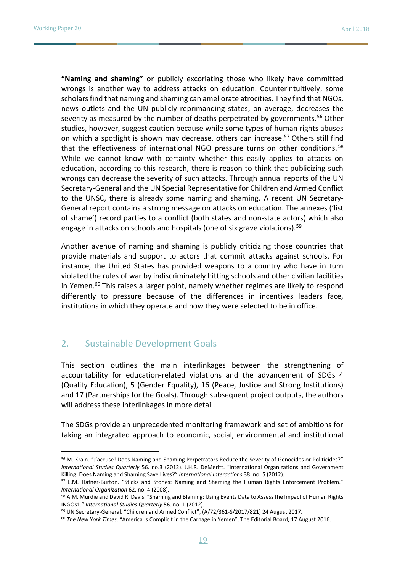**"Naming and shaming"** or publicly excoriating those who likely have committed wrongs is another way to address attacks on education. Counterintuitively, some scholars find that naming and shaming can ameliorate atrocities. They find that NGOs, news outlets and the UN publicly reprimanding states, on average, decreases the severity as measured by the number of deaths perpetrated by governments.<sup>56</sup> Other studies, however, suggest caution because while some types of human rights abuses on which a spotlight is shown may decrease, others can increase.<sup>57</sup> Others still find that the effectiveness of international NGO pressure turns on other conditions.<sup>58</sup> While we cannot know with certainty whether this easily applies to attacks on education, according to this research, there is reason to think that publicizing such wrongs can decrease the severity of such attacks. Through annual reports of the UN Secretary-General and the UN Special Representative for Children and Armed Conflict to the UNSC, there is already some naming and shaming. A recent UN Secretary-General report contains a strong message on attacks on education. The annexes ('list of shame') record parties to a conflict (both states and non-state actors) which also engage in attacks on schools and hospitals (one of six grave violations).<sup>59</sup>

Another avenue of naming and shaming is publicly criticizing those countries that provide materials and support to actors that commit attacks against schools. For instance, the United States has provided weapons to a country who have in turn violated the rules of war by indiscriminately hitting schools and other civilian facilities in Yemen.<sup>60</sup> This raises a larger point, namely whether regimes are likely to respond differently to pressure because of the differences in incentives leaders face, institutions in which they operate and how they were selected to be in office.

# 2. Sustainable Development Goals

This section outlines the main interlinkages between the strengthening of accountability for education-related violations and the advancement of SDGs 4 (Quality Education), 5 (Gender Equality), 16 (Peace, Justice and Strong Institutions) and 17 (Partnerships for the Goals). Through subsequent project outputs, the authors will address these interlinkages in more detail.

The SDGs provide an unprecedented monitoring framework and set of ambitions for taking an integrated approach to economic, social, environmental and institutional

<sup>56</sup> M. Krain. "J'accuse! Does Naming and Shaming Perpetrators Reduce the Severity of Genocides or Politicides?" *International Studies Quarterly* 56. no.3 (2012). J.H.R. DeMeritt. "International Organizations and Government Killing: Does Naming and Shaming Save Lives?" *International Interactions* 38. no. 5 (2012).

<sup>57</sup> E.M. Hafner-Burton. "Sticks and Stones: Naming and Shaming the Human Rights Enforcement Problem." *International Organization* 62. no. 4 (2008).

<sup>58</sup> A.M. Murdie and David R. Davis. "Shaming and Blaming: Using Events Data to Assess the Impact of Human Rights INGOs1." *International Studies Quarterly* 56. no. 1 (2012).

<sup>59</sup> UN Secretary-General. "Children and Armed Conflict", (A/72/361-S/2017/821) 24 August 2017.

<sup>60</sup> *The New York Times*. "America Is Complicit in the Carnage in Yemen", The Editorial Board, 17 August 2016.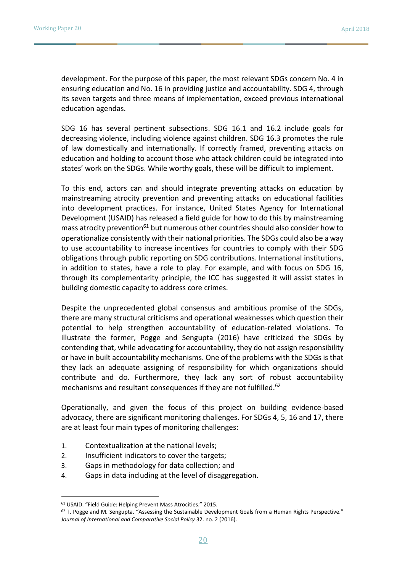development. For the purpose of this paper, the most relevant SDGs concern No. 4 in ensuring education and No. 16 in providing justice and accountability. SDG 4, through its seven targets and three means of implementation, exceed previous international education agendas.

SDG 16 has several pertinent subsections. SDG 16.1 and 16.2 include goals for decreasing violence, including violence against children. SDG 16.3 promotes the rule of law domestically and internationally. If correctly framed, preventing attacks on education and holding to account those who attack children could be integrated into states' work on the SDGs. While worthy goals, these will be difficult to implement.

To this end, actors can and should integrate preventing attacks on education by mainstreaming atrocity prevention and preventing attacks on educational facilities into development practices. For instance, United States Agency for International Development (USAID) has released a field guide for how to do this by mainstreaming mass atrocity prevention<sup>61</sup> but numerous other countries should also consider how to operationalize consistently with their national priorities. The SDGs could also be a way to use accountability to increase incentives for countries to comply with their SDG obligations through public reporting on SDG contributions. International institutions, in addition to states, have a role to play. For example, and with focus on SDG 16, through its complementarity principle, the ICC has suggested it will assist states in building domestic capacity to address core crimes.

Despite the unprecedented global consensus and ambitious promise of the SDGs, there are many structural criticisms and operational weaknesses which question their potential to help strengthen accountability of education-related violations. To illustrate the former, Pogge and Sengupta (2016) have criticized the SDGs by contending that, while advocating for accountability, they do not assign responsibility or have in built accountability mechanisms. One of the problems with the SDGs is that they lack an adequate assigning of responsibility for which organizations should contribute and do. Furthermore, they lack any sort of robust accountability mechanisms and resultant consequences if they are not fulfilled.<sup>62</sup>

Operationally, and given the focus of this project on building evidence-based advocacy, there are significant monitoring challenges. For SDGs 4, 5, 16 and 17, there are at least four main types of monitoring challenges:

- 1. Contextualization at the national levels;
- 2. Insufficient indicators to cover the targets;
- 3. Gaps in methodology for data collection; and
- 4. Gaps in data including at the level of disaggregation.

 $\overline{a}$ 

<sup>61</sup> USAID. "Field Guide: Helping Prevent Mass Atrocities." 2015.

<sup>62</sup> T. Pogge and M. Sengupta. "Assessing the Sustainable Development Goals from a Human Rights Perspective." *Journal of International and Comparative Social Policy* 32. no. 2 (2016).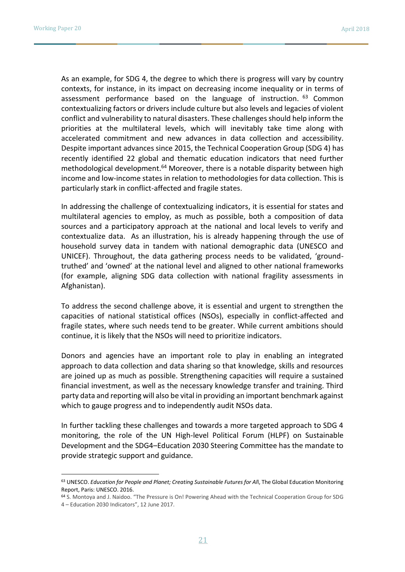As an example, for SDG 4, the degree to which there is progress will vary by country contexts, for instance, in its impact on decreasing income inequality or in terms of assessment performance based on the language of instruction. <sup>63</sup> Common contextualizing factors or drivers include culture but also levels and legacies of violent conflict and vulnerability to natural disasters. These challenges should help inform the priorities at the multilateral levels, which will inevitably take time along with accelerated commitment and new advances in data collection and accessibility. Despite important advances since 2015, the Technical Cooperation Group (SDG 4) has recently identified 22 global and thematic education indicators that need further methodological development.<sup>64</sup> Moreover, there is a notable disparity between high income and low-income states in relation to methodologies for data collection. This is particularly stark in conflict-affected and fragile states.

In addressing the challenge of contextualizing indicators, it is essential for states and multilateral agencies to employ, as much as possible, both a composition of data sources and a participatory approach at the national and local levels to verify and contextualize data. As an illustration, his is already happening through the use of household survey data in tandem with national demographic data (UNESCO and UNICEF). Throughout, the data gathering process needs to be validated, 'groundtruthed' and 'owned' at the national level and aligned to other national frameworks (for example, aligning SDG data collection with national fragility assessments in Afghanistan).

To address the second challenge above, it is essential and urgent to strengthen the capacities of national statistical offices (NSOs), especially in conflict-affected and fragile states, where such needs tend to be greater. While current ambitions should continue, it is likely that the NSOs will need to prioritize indicators.

Donors and agencies have an important role to play in enabling an integrated approach to data collection and data sharing so that knowledge, skills and resources are joined up as much as possible. Strengthening capacities will require a sustained financial investment, as well as the necessary knowledge transfer and training. Third party data and reporting will also be vital in providing an important benchmark against which to gauge progress and to independently audit NSOs data.

In further tackling these challenges and towards a more targeted approach to SDG 4 monitoring, the role of the UN High-level Political Forum (HLPF) on Sustainable Development and the SDG4–Education 2030 Steering Committee has the mandate to provide strategic support and guidance.

<sup>63</sup> UNESCO. *Education for People and Planet; Creating Sustainable Futures for Al*l, The Global Education Monitoring Report, Paris: UNESCO. 2016.

<sup>64</sup> S. Montoya and J. Naidoo. "The Pressure is On! Powering Ahead with the Technical Cooperation Group for SDG 4 – Education 2030 Indicators", 12 June 2017.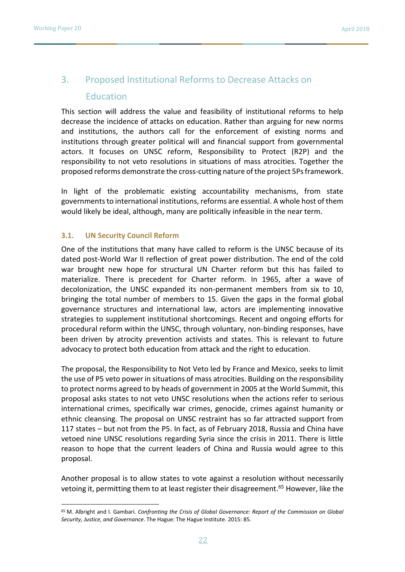# 3. Proposed Institutional Reforms to Decrease Attacks on **Education**

This section will address the value and feasibility of institutional reforms to help decrease the incidence of attacks on education. Rather than arguing for new norms and institutions, the authors call for the enforcement of existing norms and institutions through greater political will and financial support from governmental actors. It focuses on UNSC reform, Responsibility to Protect (R2P) and the responsibility to not veto resolutions in situations of mass atrocities. Together the proposed reforms demonstrate the cross-cutting nature of the project 5Ps framework.

In light of the problematic existing accountability mechanisms, from state governments to international institutions, reforms are essential. A whole host of them would likely be ideal, although, many are politically infeasible in the near term.

### **3.1. UN Security Council Reform**

One of the institutions that many have called to reform is the UNSC because of its dated post-World War II reflection of great power distribution. The end of the cold war brought new hope for structural UN Charter reform but this has failed to materialize. There is precedent for Charter reform. In 1965, after a wave of decolonization, the UNSC expanded its non-permanent members from six to 10, bringing the total number of members to 15. Given the gaps in the formal global governance structures and international law, actors are implementing innovative strategies to supplement institutional shortcomings. Recent and ongoing efforts for procedural reform within the UNSC, through voluntary, non-binding responses, have been driven by atrocity prevention activists and states. This is relevant to future advocacy to protect both education from attack and the right to education.

The proposal, the Responsibility to Not Veto led by France and Mexico, seeks to limit the use of P5 veto power in situations of mass atrocities. Building on the responsibility to protect norms agreed to by heads of government in 2005 at the World Summit, this proposal asks states to not veto UNSC resolutions when the actions refer to serious international crimes, specifically war crimes, genocide, crimes against humanity or ethnic cleansing. The proposal on UNSC restraint has so far attracted support from 117 states – but not from the P5. In fact, as of February 2018, Russia and China have vetoed nine UNSC resolutions regarding Syria since the crisis in 2011. There is little reason to hope that the current leaders of China and Russia would agree to this proposal.

Another proposal is to allow states to vote against a resolution without necessarily vetoing it, permitting them to at least register their disagreement. <sup>65</sup> However, like the

<sup>65</sup> M. Albright and I. Gambari. *Confronting the Crisis of Global Governance: Report of the Commission on Global Security, Justice, and Governance*. The Hague: The Hague Institute. 2015: 85.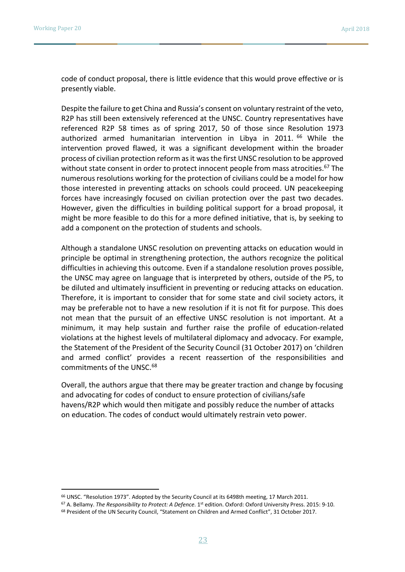code of conduct proposal, there is little evidence that this would prove effective or is presently viable.

Despite the failure to get China and Russia's consent on voluntary restraint of the veto, R2P has still been extensively referenced at the UNSC. Country representatives have referenced R2P 58 times as of spring 2017, 50 of those since Resolution 1973 authorized armed humanitarian intervention in Libya in 2011. <sup>66</sup> While the intervention proved flawed, it was a significant development within the broader process of civilian protection reform as it was the first UNSC resolution to be approved without state consent in order to protect innocent people from mass atrocities.<sup>67</sup> The numerous resolutions working for the protection of civilians could be a model for how those interested in preventing attacks on schools could proceed. UN peacekeeping forces have increasingly focused on civilian protection over the past two decades. However, given the difficulties in building political support for a broad proposal, it might be more feasible to do this for a more defined initiative, that is, by seeking to add a component on the protection of students and schools.

Although a standalone UNSC resolution on preventing attacks on education would in principle be optimal in strengthening protection, the authors recognize the political difficulties in achieving this outcome. Even if a standalone resolution proves possible, the UNSC may agree on language that is interpreted by others, outside of the P5, to be diluted and ultimately insufficient in preventing or reducing attacks on education. Therefore, it is important to consider that for some state and civil society actors, it may be preferable not to have a new resolution if it is not fit for purpose. This does not mean that the pursuit of an effective UNSC resolution is not important. At a minimum, it may help sustain and further raise the profile of education-related violations at the highest levels of multilateral diplomacy and advocacy. For example, the Statement of the President of the Security Council (31 October 2017) on 'children and armed conflict' provides a recent reassertion of the responsibilities and commitments of the UNSC.<sup>68</sup>

Overall, the authors argue that there may be greater traction and change by focusing and advocating for codes of conduct to ensure protection of civilians/safe havens/R2P which would then mitigate and possibly reduce the number of attacks on education. The codes of conduct would ultimately restrain veto power.

<sup>&</sup>lt;sup>66</sup> UNSC. "Resolution 1973". Adopted by the Security Council at its 6498th meeting, 17 March 2011.

<sup>67</sup> A. Bellamy. *The Responsibility to Protect: A Defence*. 1st edition. Oxford: Oxford University Press. 2015: 9-10.

<sup>68</sup> President of the UN Security Council, "Statement on Children and Armed Conflict", 31 October 2017.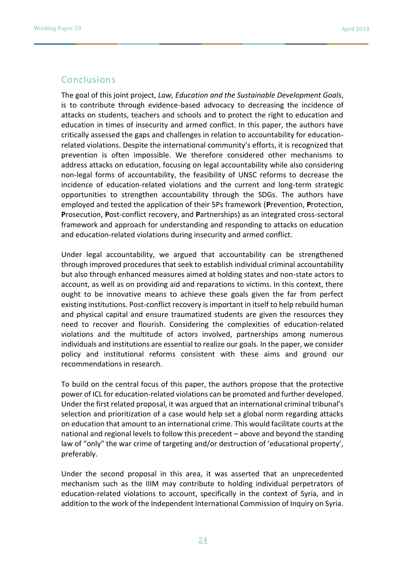# Conclusions

The goal of this joint project, *Law, Education and the Sustainable Development Goals*, is to contribute through evidence-based advocacy to decreasing the incidence of attacks on students, teachers and schools and to protect the right to education and education in times of insecurity and armed conflict. In this paper, the authors have critically assessed the gaps and challenges in relation to accountability for educationrelated violations. Despite the international community's efforts, it is recognized that prevention is often impossible. We therefore considered other mechanisms to address attacks on education, focusing on legal accountability while also considering non-legal forms of accountability, the feasibility of UNSC reforms to decrease the incidence of education-related violations and the current and long-term strategic opportunities to strengthen accountability through the SDGs. The authors have employed and tested the application of their 5Ps framework (**P**revention, **P**rotection, **P**rosecution, **P**ost-conflict recovery, and **P**artnerships) as an integrated cross-sectoral framework and approach for understanding and responding to attacks on education and education-related violations during insecurity and armed conflict.

Under legal accountability, we argued that accountability can be strengthened through improved procedures that seek to establish individual criminal accountability but also through enhanced measures aimed at holding states and non-state actors to account, as well as on providing aid and reparations to victims. In this context, there ought to be innovative means to achieve these goals given the far from perfect existing institutions. Post-conflict recovery is important in itself to help rebuild human and physical capital and ensure traumatized students are given the resources they need to recover and flourish. Considering the complexities of education-related violations and the multitude of actors involved, partnerships among numerous individuals and institutions are essential to realize our goals. In the paper, we consider policy and institutional reforms consistent with these aims and ground our recommendations in research.

To build on the central focus of this paper, the authors propose that the protective power of ICL for education-related violations can be promoted and further developed. Under the first related proposal, it was argued that an international criminal tribunal's selection and prioritization of a case would help set a global norm regarding attacks on education that amount to an international crime. This would facilitate courts at the national and regional levels to follow this precedent – above and beyond the standing law of "only" the war crime of targeting and/or destruction of 'educational property', preferably.

Under the second proposal in this area, it was asserted that an unprecedented mechanism such as the IIIM may contribute to holding individual perpetrators of education-related violations to account, specifically in the context of Syria, and in addition to the work of the Independent International Commission of Inquiry on Syria.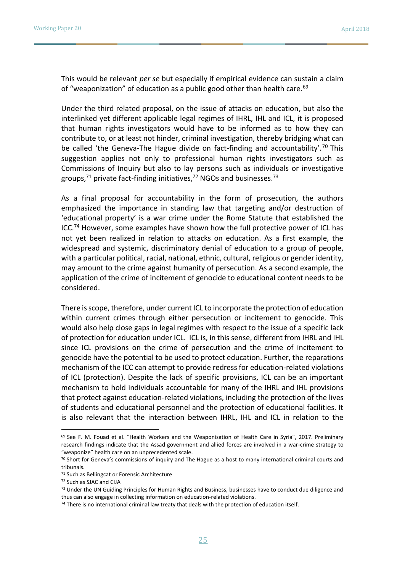This would be relevant *per se* but especially if empirical evidence can sustain a claim of "weaponization" of education as a public good other than health care.<sup>69</sup>

Under the third related proposal, on the issue of attacks on education, but also the interlinked yet different applicable legal regimes of IHRL, IHL and ICL, it is proposed that human rights investigators would have to be informed as to how they can contribute to, or at least not hinder, criminal investigation, thereby bridging what can be called 'the Geneva-The Hague divide on fact-finding and accountability'.<sup>70</sup> This suggestion applies not only to professional human rights investigators such as Commissions of Inquiry but also to lay persons such as individuals or investigative groups, $71$  private fact-finding initiatives, $72$  NGOs and businesses. $73$ 

As a final proposal for accountability in the form of prosecution, the authors emphasized the importance in standing law that targeting and/or destruction of 'educational property' is a war crime under the Rome Statute that established the  $ICC<sup>74</sup>$  However, some examples have shown how the full protective power of ICL has not yet been realized in relation to attacks on education. As a first example, the widespread and systemic, discriminatory denial of education to a group of people, with a particular political, racial, national, ethnic, cultural, religious or gender identity, may amount to the crime against humanity of persecution. As a second example, the application of the crime of incitement of genocide to educational content needs to be considered.

There is scope, therefore, under current ICL to incorporate the protection of education within current crimes through either persecution or incitement to genocide. This would also help close gaps in legal regimes with respect to the issue of a specific lack of protection for education under ICL. ICL is, in this sense, different from IHRL and IHL since ICL provisions on the crime of persecution and the crime of incitement to genocide have the potential to be used to protect education. Further, the reparations mechanism of the ICC can attempt to provide redress for education-related violations of ICL (protection). Despite the lack of specific provisions, ICL can be an important mechanism to hold individuals accountable for many of the IHRL and IHL provisions that protect against education-related violations, including the protection of the lives of students and educational personnel and the protection of educational facilities. It is also relevant that the interaction between IHRL, IHL and ICL in relation to the

 $\overline{a}$ 

<sup>&</sup>lt;sup>69</sup> See F. M. Fouad et al. "Health Workers and the Weaponisation of Health Care in Syria", 2017. Preliminary research findings indicate that the Assad government and allied forces are involved in a war-crime strategy to "weaponize" health care on an unprecedented scale.

<sup>70</sup> Short for Geneva's commissions of inquiry and The Hague as a host to many international criminal courts and tribunals.

<sup>71</sup> Such as Bellingcat or Forensic Architecture

<sup>72</sup> Such as SJAC and CIJA

<sup>73</sup> Under the UN Guiding Principles for Human Rights and Business, businesses have to conduct due diligence and thus can also engage in collecting information on education-related violations.

<sup>&</sup>lt;sup>74</sup> There is no international criminal law treaty that deals with the protection of education itself.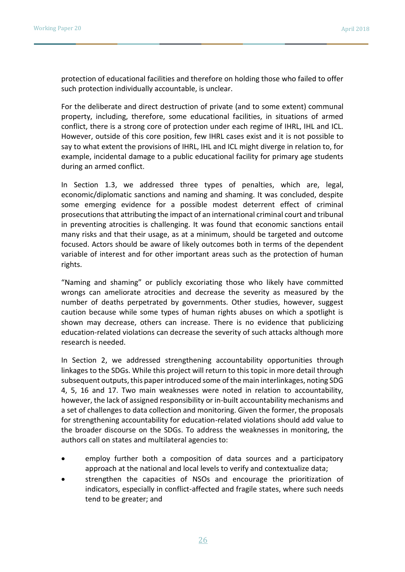protection of educational facilities and therefore on holding those who failed to offer such protection individually accountable, is unclear.

For the deliberate and direct destruction of private (and to some extent) communal property, including, therefore, some educational facilities, in situations of armed conflict, there is a strong core of protection under each regime of IHRL, IHL and ICL. However, outside of this core position, few IHRL cases exist and it is not possible to say to what extent the provisions of IHRL, IHL and ICL might diverge in relation to, for example, incidental damage to a public educational facility for primary age students during an armed conflict.

In Section 1.3, we addressed three types of penalties, which are, legal, economic/diplomatic sanctions and naming and shaming. It was concluded, despite some emerging evidence for a possible modest deterrent effect of criminal prosecutionsthat attributing the impact of an international criminal court and tribunal in preventing atrocities is challenging. It was found that economic sanctions entail many risks and that their usage, as at a minimum, should be targeted and outcome focused. Actors should be aware of likely outcomes both in terms of the dependent variable of interest and for other important areas such as the protection of human rights.

"Naming and shaming" or publicly excoriating those who likely have committed wrongs can ameliorate atrocities and decrease the severity as measured by the number of deaths perpetrated by governments. Other studies, however, suggest caution because while some types of human rights abuses on which a spotlight is shown may decrease, others can increase. There is no evidence that publicizing education-related violations can decrease the severity of such attacks although more research is needed.

In Section 2, we addressed strengthening accountability opportunities through linkages to the SDGs. While this project will return to this topic in more detail through subsequent outputs, this paper introduced some of the main interlinkages, noting SDG 4, 5, 16 and 17. Two main weaknesses were noted in relation to accountability, however, the lack of assigned responsibility or in-built accountability mechanisms and a set of challenges to data collection and monitoring. Given the former, the proposals for strengthening accountability for education-related violations should add value to the broader discourse on the SDGs. To address the weaknesses in monitoring, the authors call on states and multilateral agencies to:

- employ further both a composition of data sources and a participatory approach at the national and local levels to verify and contextualize data;
- strengthen the capacities of NSOs and encourage the prioritization of indicators, especially in conflict-affected and fragile states, where such needs tend to be greater; and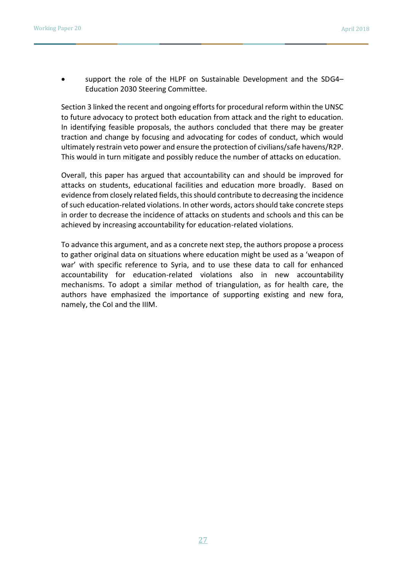support the role of the HLPF on Sustainable Development and the SDG4– Education 2030 Steering Committee.

Section 3 linked the recent and ongoing efforts for procedural reform within the UNSC to future advocacy to protect both education from attack and the right to education. In identifying feasible proposals, the authors concluded that there may be greater traction and change by focusing and advocating for codes of conduct, which would ultimately restrain veto power and ensure the protection of civilians/safe havens/R2P. This would in turn mitigate and possibly reduce the number of attacks on education.

Overall, this paper has argued that accountability can and should be improved for attacks on students, educational facilities and education more broadly. Based on evidence from closely related fields, this should contribute to decreasing the incidence of such education-related violations. In other words, actors should take concrete steps in order to decrease the incidence of attacks on students and schools and this can be achieved by increasing accountability for education-related violations.

To advance this argument, and as a concrete next step, the authors propose a process to gather original data on situations where education might be used as a 'weapon of war' with specific reference to Syria, and to use these data to call for enhanced accountability for education-related violations also in new accountability mechanisms. To adopt a similar method of triangulation, as for health care, the authors have emphasized the importance of supporting existing and new fora, namely, the CoI and the IIIM.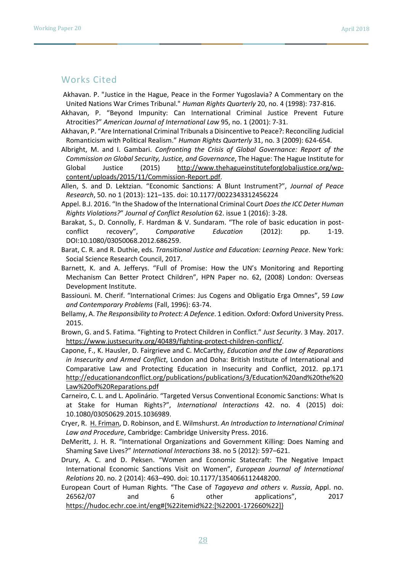#### Works Cited

- Akhavan. P. "Justice in the Hague, Peace in the Former Yugoslavia? A Commentary on the United Nations War Crimes Tribunal." *Human Rights Quarterly* 20, no. 4 (1998): 737-816.
- Akhavan, P. "Beyond Impunity: Can International Criminal Justice Prevent Future Atrocities?" *American Journal of International Law* 95, no. 1 (2001): 7-31.
- Akhavan, P. "Are International Criminal Tribunals a Disincentive to Peace?: Reconciling Judicial Romanticism with Political Realism." *Human Rights Quarterly* 31, no. 3 (2009): 624-654.
- Albright, M. and I. Gambari. *Confronting the Crisis of Global Governance: Report of the Commission on Global Security, Justice, and Governance*, The Hague: The Hague Institute for Global Justice (2015) [http://www.thehagueinstituteforglobaljustice.org/wp](http://www.thehagueinstituteforglobaljustice.org/wp-content/uploads/2015/11/Commission-Report.pdf)[content/uploads/2015/11/Commission-Report.pdf.](http://www.thehagueinstituteforglobaljustice.org/wp-content/uploads/2015/11/Commission-Report.pdf)
- Allen, S. and D. Lektzian. "Economic Sanctions: A Blunt Instrument?", *Journal of Peace Research*, 50. no 1 (2013): 121–135. doi: 10.1177/0022343312456224
- Appel. B.J. 2016. "In the Shadow of the International Criminal Court *Does the ICC Deter Human Rights Violations?*" *Journal of Conflict Resolution* 62. issue 1 (2016): 3-28.
- Barakat, S., D. Connolly, F. Hardman & V. Sundaram. "The role of basic education in postconflict recovery", *Comparative Education* (2012): pp. 1-19. DOI:10.1080/03050068.2012.686259.
- Barat, C. R. and R. Duthie, eds. *Transitional Justice and Education: Learning Peace*. New York: Social Science Research Council, 2017.
- Barnett, K. and A. Jefferys. "Full of Promise: How the UN's Monitoring and Reporting Mechanism Can Better Protect Children", HPN Paper no. 62, (2008) London: Overseas Development Institute.
- Bassiouni. M. Cherif. "International Crimes: Jus Cogens and Obligatio Erga Omnes", 59 *Law and Contemporary Problems* (Fall, 1996): 63-74.
- Bellamy, A. *The Responsibility to Protect: A Defence*. 1 edition. Oxford: Oxford University Press. 2015.

Brown, G. and S. Fatima. "Fighting to Protect Children in Conflict." *Just Security*. 3 May. 2017. [https://www.justsecurity.org/40489/fighting-protect-children-conflict/.](https://www.justsecurity.org/40489/fighting-protect-children-conflict/)

- Capone, F., K. Hausler, D. Fairgrieve and C. McCarthy, *Education and the Law of Reparations in Insecurity and Armed Conflict*, London and Doha: British Institute of International and Comparative Law and Protecting Education in Insecurity and Conflict, 2012. pp.171 [http://educationandconflict.org/publications/publications/3/Education%20and%20the%20](http://educationandconflict.org/publications/publications/3/Education%20and%20the%20Law%20of%20Reparations.pdf) [Law%20of%20Reparations.pdf](http://educationandconflict.org/publications/publications/3/Education%20and%20the%20Law%20of%20Reparations.pdf)
- Carneiro, C. L. and L. Apolinário. "Targeted Versus Conventional Economic Sanctions: What Is at Stake for Human Rights?", *International Interactions* 42. no. 4 (2015) doi: 10.1080/03050629.2015.1036989.
- Cryer, R. [H. Friman,](https://www.amazon.com/s/ref=dp_byline_sr_book_2?ie=UTF8&text=H%C3%A5kan+Friman&search-alias=books&field-author=H%C3%A5kan+Friman&sort=relevancerank) D. Robinson, and E. Wilmshurst. *An Introduction to International Criminal Law and Procedure*, Cambridge: Cambridge University Press. 2016.
- DeMeritt, J. H. R. "International Organizations and Government Killing: Does Naming and Shaming Save Lives?" *International Interactions* 38. no 5 (2012): 597–621.
- Drury, A. C. and D. Peksen. "Women and Economic Statecraft: The Negative Impact International Economic Sanctions Visit on Women", *European Journal of International Relations* 20. no. 2 (2014): 463–490. doi: 10.1177/1354066112448200.
- European Court of Human Rights. "The Case of *Tagayeva and others v. Russia*, Appl. no. 26562/07 and 6 other applications", 2017 [https://hudoc.echr.coe.int/eng#{%22itemid%22:\[%22001-172660%22\]}](https://hudoc.echr.coe.int/eng#{%22itemid%22:[%22001-172660%22]})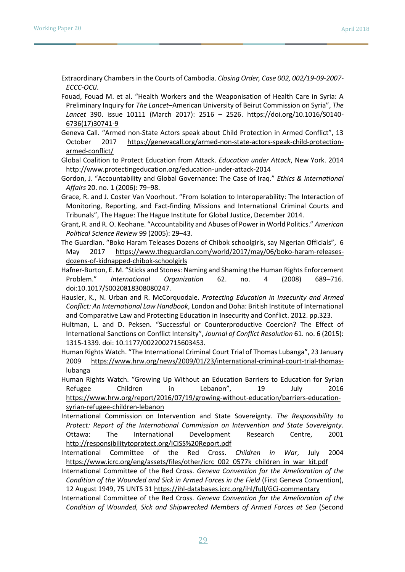Extraordinary Chambers in the Courts of Cambodia. *Closing Order, Case 002, 002/19-09-2007- ECCC-OCIJ*.

- Fouad, Fouad M. et al. "Health Workers and the Weaponisation of Health Care in Syria: A Preliminary Inquiry for *The Lancet*–American University of Beirut Commission on Syria", *The Lancet* 390. issue 10111 (March 2017): 2516 – 2526. [https://doi.org/10.1016/S0140-](https://doi.org/10.1016/S0140-6736(17)30741-9) [6736\(17\)30741-9](https://doi.org/10.1016/S0140-6736(17)30741-9)
- Geneva Call. "Armed non-State Actors speak about Child Protection in Armed Conflict", 13 October 2017 [https://genevacall.org/armed-non-state-actors-speak-child-protection](https://genevacall.org/armed-non-state-actors-speak-child-protection-armed-conflict/)[armed-conflict/](https://genevacall.org/armed-non-state-actors-speak-child-protection-armed-conflict/)

Global Coalition to Protect Education from Attack. *Education under Attack*, New York. 2014 <http://www.protectingeducation.org/education-under-attack-2014>

- Gordon, J. "Accountability and Global Governance: The Case of Iraq." *Ethics & International Affairs* 20. no. 1 (2006): 79–98.
- Grace, R. and J. Coster Van Voorhout. "From Isolation to Interoperability: The Interaction of Monitoring, Reporting, and Fact-finding Missions and International Criminal Courts and Tribunals", The Hague: The Hague Institute for Global Justice, December 2014.
- Grant, R. and R. O. Keohane. "Accountability and Abuses of Power in World Politics." *American Political Science Review* 99 (2005): 29–43.
- The Guardian. "Boko Haram Teleases Dozens of Chibok schoolgirls, say Nigerian Officials", 6 May 2017 [https://www.theguardian.com/world/2017/may/06/boko-haram-releases](https://www.theguardian.com/world/2017/may/06/boko-haram-releases-dozens-of-kidnapped-chibok-schoolgirls)[dozens-of-kidnapped-chibok-schoolgirls](https://www.theguardian.com/world/2017/may/06/boko-haram-releases-dozens-of-kidnapped-chibok-schoolgirls)
- Hafner-Burton, E. M. "Sticks and Stones: Naming and Shaming the Human Rights Enforcement Problem." *International Organization* 62. no. 4 (2008) 689–716. doi:10.1017/S0020818308080247.
- Hausler, K., N. Urban and R. McCorquodale. *Protecting Education in Insecurity and Armed Conflict: An International Law Handbook*, London and Doha: British Institute of International and Comparative Law and Protecting Education in Insecurity and Conflict. 2012. pp.323.
- Hultman, L. and D. Peksen. "Successful or Counterproductive Coercion? The Effect of International Sanctions on Conflict Intensity", *Journal of Conflict Resolution* 61. no. 6 (2015): 1315-1339. doi: 10.1177/0022002715603453.
- Human Rights Watch. "The International Criminal Court Trial of Thomas Lubanga", 23 January 2009 [https://www.hrw.org/news/2009/01/23/international-criminal-court-trial-thomas](https://www.hrw.org/news/2009/01/23/international-criminal-court-trial-thomas-lubanga)[lubanga](https://www.hrw.org/news/2009/01/23/international-criminal-court-trial-thomas-lubanga)

Human Rights Watch. "Growing Up Without an Education Barriers to Education for Syrian Refugee Children in Lebanon", 19 July 2016 [https://www.hrw.org/report/2016/07/19/growing-without-education/barriers-education](https://www.hrw.org/report/2016/07/19/growing-without-education/barriers-education-syrian-refugee-children-lebanon)[syrian-refugee-children-lebanon](https://www.hrw.org/report/2016/07/19/growing-without-education/barriers-education-syrian-refugee-children-lebanon)

- International Commission on Intervention and State Sovereignty. *The Responsibility to Protect: Report of the International Commission on Intervention and State Sovereignty*. Ottawa: The International Development Research Centre, 2001 <http://responsibilitytoprotect.org/ICISS%20Report.pdf>
- International Committee of the Red Cross. *Children in War*, July 2004 [https://www.icrc.org/eng/assets/files/other/icrc\\_002\\_0577k\\_children\\_in\\_war\\_kit.pdf](https://www.icrc.org/eng/assets/files/other/icrc_002_0577k_children_in_war_kit.pdf)

International Committee of the Red Cross. *Geneva Convention for the Amelioration of the Condition of the Wounded and Sick in Armed Forces in the Field* (First Geneva Convention), 12 August 1949, 75 UNTS 31<https://ihl-databases.icrc.org/ihl/full/GCi-commentary>

International Committee of the Red Cross. *Geneva Convention for the Amelioration of the Condition of Wounded, Sick and Shipwrecked Members of Armed Forces at Sea* (Second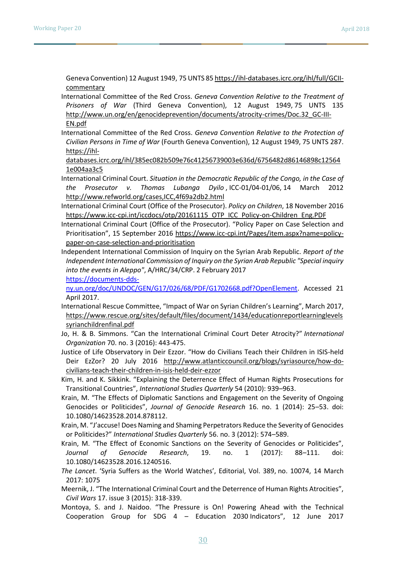Geneva Convention) 12 August 1949, 75 UNTS 8[5 https://ihl-databases.icrc.org/ihl/full/GCII](https://ihl-databases.icrc.org/ihl/full/GCII-commentary)[commentary](https://ihl-databases.icrc.org/ihl/full/GCII-commentary)

- International Committee of the Red Cross. *Geneva Convention Relative to the Treatment of Prisoners of War* (Third Geneva Convention), 12 August 1949, 75 UNTS 135 [http://www.un.org/en/genocideprevention/documents/atrocity-crimes/Doc.32\\_GC-III-](http://www.un.org/en/genocideprevention/documents/atrocity-crimes/Doc.32_GC-III-EN.pdf)[EN.pdf](http://www.un.org/en/genocideprevention/documents/atrocity-crimes/Doc.32_GC-III-EN.pdf)
- International Committee of the Red Cross. *Geneva Convention Relative to the Protection of Civilian Persons in Time of War* (Fourth Geneva Convention), 12 August 1949, 75 UNTS 287. [https://ihl-](https://ihl-databases.icrc.org/ihl/385ec082b509e76c41256739003e636d/6756482d86146898c125641e004aa3c5)

[databases.icrc.org/ihl/385ec082b509e76c41256739003e636d/6756482d86146898c12564](https://ihl-databases.icrc.org/ihl/385ec082b509e76c41256739003e636d/6756482d86146898c125641e004aa3c5) [1e004aa3c5](https://ihl-databases.icrc.org/ihl/385ec082b509e76c41256739003e636d/6756482d86146898c125641e004aa3c5)

- International Criminal Court. *Situation in the Democratic Republic of the Congo, in the Case of the Prosecutor v. Thomas Lubanga Dyilo* , ICC-01/04-01/06, 14 March 2012 <http://www.refworld.org/cases,ICC,4f69a2db2.html>
- International Criminal Court (Office of the Prosecutor). *Policy on Children*, 18 November 2016 [https://www.icc-cpi.int/iccdocs/otp/20161115\\_OTP\\_ICC\\_Policy-on-Children\\_Eng.PDF](https://www.icc-cpi.int/iccdocs/otp/20161115_OTP_ICC_Policy-on-Children_Eng.PDF)
- International Criminal Court (Office of the Prosecutor). "Policy Paper on Case Selection and Prioritisation", 15 September 2016 [https://www.icc-cpi.int/Pages/item.aspx?name=policy](https://www.icc-cpi.int/Pages/item.aspx?name=policy-paper-on-case-selection-and-prioritisation)[paper-on-case-selection-and-prioritisation](https://www.icc-cpi.int/Pages/item.aspx?name=policy-paper-on-case-selection-and-prioritisation)
- Independent International Commission of Inquiry on the Syrian Arab Republic. *Report of the Independent International Commission of Inquiry on the Syrian Arab Republic "Special inquiry into the events in Aleppo"*, A/HRC/34/CRP. 2 February 2017

[https://documents-dds-](https://documents-dds-ny.un.org/doc/UNDOC/GEN/G17/026/68/PDF/G1702668.pdf?OpenElement)

[ny.un.org/doc/UNDOC/GEN/G17/026/68/PDF/G1702668.pdf?OpenElement.](https://documents-dds-ny.un.org/doc/UNDOC/GEN/G17/026/68/PDF/G1702668.pdf?OpenElement) Accessed 21 April 2017.

- International Rescue Committee, "Impact of War on Syrian Children's Learning", March 2017[,](https://www.rescue.org/sites/default/files/document/1434/educationreportlearninglevelssyrianchildrenfinal.pdf) [https://www.rescue.org/sites/default/files/document/1434/educationreportlearninglevels](https://www.rescue.org/sites/default/files/document/1434/educationreportlearninglevelssyrianchildrenfinal.pdf) [syrianchildrenfinal.pdf](https://www.rescue.org/sites/default/files/document/1434/educationreportlearninglevelssyrianchildrenfinal.pdf)
- Jo, H. & B. Simmons. "Can the International Criminal Court Deter Atrocity?" *International Organization* 70. no. 3 (2016): 443-475.
- Justice of Life Observatory in Deir Ezzor. "How do Civilians Teach their Children in ISIS-held Deir EzZor? 20 July 2016 [http://www.atlanticcouncil.org/blogs/syriasource/how-do](http://www.atlanticcouncil.org/blogs/syriasource/how-do-civilians-teach-their-children-in-isis-held-deir-ezzor)[civilians-teach-their-children-in-isis-held-deir-ezzor](http://www.atlanticcouncil.org/blogs/syriasource/how-do-civilians-teach-their-children-in-isis-held-deir-ezzor)
- Kim, H. and K. Sikkink. "Explaining the Deterrence Effect of Human Rights Prosecutions for Transitional Countries", *International Studies Quarterly* 54 (2010): 939–963.
- Krain, M. "The Effects of Diplomatic Sanctions and Engagement on the Severity of Ongoing Genocides or Politicides", *Journal of Genocide Research* 16. no. 1 (2014): 25–53. doi: 10.1080/14623528.2014.878112.
- Krain, M. "J'accuse! Does Naming and Shaming Perpetrators Reduce the Severity of Genocides or Politicides?" *International Studies Quarterly* 56. no. 3 (2012): 574–589.
- Krain, M. "The Effect of Economic Sanctions on the Severity of Genocides or Politicides", *Journal of Genocide Research*, 19. no. 1 (2017): 88–111. doi: 10.1080/14623528.2016.1240516.
- *The Lancet*. 'Syria Suffers as the World Watches', Editorial, Vol. 389, no. 10074, 14 March 2017: 1075
- Meernik, J. "The International Criminal Court and the Deterrence of Human Rights Atrocities", *Civil Wars* 17. issue 3 (2015): 318-339.
- Montoya, S. and J. Naidoo. "The Pressure is On! Powering Ahead with the Technical Cooperation Group for SDG 4 – Education 2030 Indicators", 12 June 2017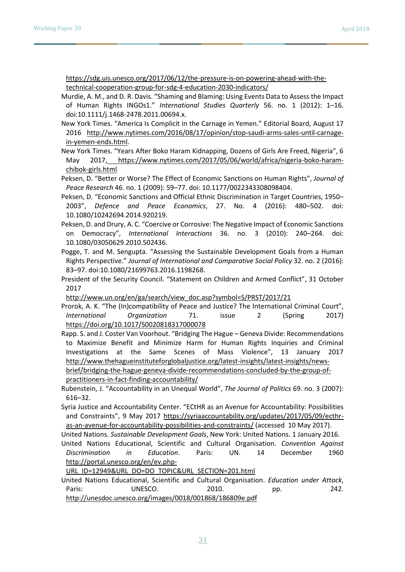[https://sdg.uis.unesco.org/2017/06/12/the-pressure-is-on-powering-ahead-with-the](https://sdg.uis.unesco.org/2017/06/12/the-pressure-is-on-powering-ahead-with-the-technical-cooperation-group-for-sdg-4-education-2030-indicators/)[technical-cooperation-group-for-sdg-4-education-2030-indicators/](https://sdg.uis.unesco.org/2017/06/12/the-pressure-is-on-powering-ahead-with-the-technical-cooperation-group-for-sdg-4-education-2030-indicators/)

Murdie, A. M., and D. R. Davis. "Shaming and Blaming: Using Events Data to Assess the Impact of Human Rights INGOs1." *International Studies Quarterly* 56. no. 1 (2012): 1–16. doi:10.1111/j.1468-2478.2011.00694.x.

New York Times. "America Is Complicit in the Carnage in Yemen." Editorial Board, August 17 2016 [http://www.nytimes.com/2016/08/17/opinion/stop-saudi-arms-sales-until-carnage](http://www.nytimes.com/2016/08/17/opinion/stop-saudi-arms-sales-until-carnage-in-yemen-ends.html)[in-yemen-ends.html.](http://www.nytimes.com/2016/08/17/opinion/stop-saudi-arms-sales-until-carnage-in-yemen-ends.html)

New York Times. "Years After Boko Haram Kidnapping, Dozens of Girls Are Freed, Nigeria", 6 May 2017, [https://www.nytimes.com/2017/05/06/world/africa/nigeria-boko-haram](https://www.nytimes.com/2017/05/06/world/africa/nigeria-boko-haram-chibok-girls.html)[chibok-girls.html](https://www.nytimes.com/2017/05/06/world/africa/nigeria-boko-haram-chibok-girls.html)

Peksen, D. "Better or Worse? The Effect of Economic Sanctions on Human Rights", *Journal of Peace Research* 46. no. 1 (2009): 59–77. doi: 10.1177/0022343308098404.

Peksen, D. "Economic Sanctions and Official Ethnic Discrimination in Target Countries, 1950– 2003", *Defence and Peace Economics*, 27. No. 4 (2016): 480–502. doi: 10.1080/10242694.2014.920219.

Peksen, D. and Drury, A. C. "Coercive or Corrosive: The Negative Impact of Economic Sanctions on Democracy", *International Interactions* 36. no. 3 (2010): 240–264. doi: 10.1080/03050629.2010.502436.

Pogge, T. and M. Sengupta. "Assessing the Sustainable Development Goals from a Human Rights Perspective." *Journal of International and Comparative Social Policy* 32. no. 2 (2016): 83–97. doi:10.1080/21699763.2016.1198268.

President of the Security Council. "Statement on Children and Armed Conflict", 31 October 2017

[http://www.un.org/en/ga/search/view\\_doc.asp?symbol=S/PRST/2017/21](http://www.un.org/en/ga/search/view_doc.asp?symbol=S/PRST/2017/21) 

Prorok, A. K. "The (In)compatibility of Peace and Justice? The International Criminal Court", *International Organization* 71. issue 2 (Spring 2017[\)](https://doi.org/10.1017/S0020818317000078) <https://doi.org/10.1017/S0020818317000078>

Rapp. S. and J. Coster Van Voorhout. "Bridging The Hague – Geneva Divide: Recommendations to Maximize Benefit and Minimize Harm for Human Rights Inquiries and Criminal Investigations at the Same Scenes of Mass Violence", 13 January 2017 [http://www.thehagueinstituteforglobaljustice.org/latest-insights/latest-insights/news](http://www.thehagueinstituteforglobaljustice.org/latest-insights/latest-insights/news-brief/bridging-the-hague-geneva-divide-recommendations-concluded-by-the-group-of-practitioners-in-fact-finding-accountability/)[brief/bridging-the-hague-geneva-divide-recommendations-concluded-by-the-group-of](http://www.thehagueinstituteforglobaljustice.org/latest-insights/latest-insights/news-brief/bridging-the-hague-geneva-divide-recommendations-concluded-by-the-group-of-practitioners-in-fact-finding-accountability/)[practitioners-in-fact-finding-accountability/](http://www.thehagueinstituteforglobaljustice.org/latest-insights/latest-insights/news-brief/bridging-the-hague-geneva-divide-recommendations-concluded-by-the-group-of-practitioners-in-fact-finding-accountability/)

Rubenstein, J. "Accountability in an Unequal World", *The Journal of Politics* 69. no. 3 (2007): 616–32.

Syria Justice and Accountability Center. "ECtHR as an Avenue for Accountability: Possibilities and Constraints", 9 May 2017 [https://syriaaccountability.org/updates/2017/05/09/ecthr](https://syriaaccountability.org/updates/2017/05/09/ecthr-as-an-avenue-for-accountability-possibilities-and-constraints/)[as-an-avenue-for-accountability-possibilities-and-constraints/](https://syriaaccountability.org/updates/2017/05/09/ecthr-as-an-avenue-for-accountability-possibilities-and-constraints/) (accessed 10 May 2017).

United Nations. *Sustainable Development Goals*, New York: United Nations. 1 January 2016.

United Nations Educational, Scientific and Cultural Organisation. *Convention Against Discrimination in Education*. Paris: UN. 14 December 1960 [http://portal.unesco.org/en/ev.php-](http://portal.unesco.org/en/ev.php-URL_ID=12949&URL_DO=DO_TOPIC&URL_SECTION=201.html)

[URL\\_ID=12949&URL\\_DO=DO\\_TOPIC&URL\\_SECTION=201.html](http://portal.unesco.org/en/ev.php-URL_ID=12949&URL_DO=DO_TOPIC&URL_SECTION=201.html)

United Nations Educational, Scientific and Cultural Organisation. *Education under Attack*, Paris: UNESCO. 2010. pp. 242. <http://unesdoc.unesco.org/images/0018/001868/186809e.pdf>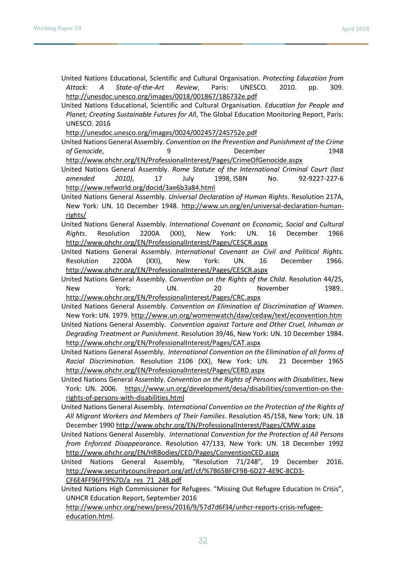- United Nations Educational, Scientific and Cultural Organisation. *Protecting Education from Attack: A State-of-the-Art Review*, Paris: UNESCO. 2010. pp. 309. <http://unesdoc.unesco.org/images/0018/001867/186732e.pdf>
- United Nations Educational, Scientific and Cultural Organisation. *Education for People and Planet; Creating Sustainable Futures for Al*l, The Global Education Monitoring Report, Paris: UNESCO. 2016

<http://unesdoc.unesco.org/images/0024/002457/245752e.pdf>

- United Nations General Assembly. *Convention on the Prevention and Punishment of the Crime of Genocide*, 9 December 1948 <http://www.ohchr.org/EN/ProfessionalInterest/Pages/CrimeOfGenocide.aspx>
- United Nations General Assembly. *Rome Statute of the International Criminal Court (last amended 2010)*, 17 July 1998, ISBN No. 92-9227-227-6 <http://www.refworld.org/docid/3ae6b3a84.html>
- United Nations General Assembly. *Universal Declaration of Human Rights*. Resolution 217A, New York: UN. 10 December 1948. [http://www.un.org/en/universal-declaration-human](http://www.un.org/en/universal-declaration-human-rights/)[rights/](http://www.un.org/en/universal-declaration-human-rights/)
- United Nations General Assembly. *International Covenant on Economic, Social and Cultural Rights*. Resolution 2200A (XXI), New York: UN. 16 December 1966 <http://www.ohchr.org/EN/ProfessionalInterest/Pages/CESCR.aspx>
- United Nations General Assembly. *International Covenant on Civil and Political Rights*. Resolution 2200A (XXI), New York: UN. 16 December 1966. <http://www.ohchr.org/EN/ProfessionalInterest/Pages/CESCR.aspx>
- United Nations General Assembly. *Convention on the Rights of the Child*. Resolution 44/25, New York: UN. 20 November 1989.. <http://www.ohchr.org/EN/ProfessionalInterest/Pages/CRC.aspx>
- United Nations General Assembly. *Convention on Elimination of Discrimination of Women*. New York: UN. 1979[. http://www.un.org/womenwatch/daw/cedaw/text/econvention.htm](http://www.un.org/womenwatch/daw/cedaw/text/econvention.htm)
- United Nations General Assembly. *Convention against Torture and Other Cruel, Inhuman or Degrading Treatment or Punishment.* Resolution 39/46, New York: UN. 10 December 1984. <http://www.ohchr.org/EN/ProfessionalInterest/Pages/CAT.aspx>
- United Nations General Assembly. *International Convention on the Elimination of all forms of Racial Discrimination.* Resolution 2106 (XX), New York: UN. 21 December 1965 <http://www.ohchr.org/EN/ProfessionalInterest/Pages/CERD.aspx>
- United Nations General Assembly. *Convention on the Rights of Persons with Disabilities*, New York: UN. 2006. [https://www.un.org/development/desa/disabilities/convention-on-the](https://www.un.org/development/desa/disabilities/convention-on-the-rights-of-persons-with-disabilities.html)[rights-of-persons-with-disabilities.html](https://www.un.org/development/desa/disabilities/convention-on-the-rights-of-persons-with-disabilities.html)
- United Nations General Assembly. *International Convention on the Protection of the Rights of All Migrant Workers and Members of Their Families*. Resolution 45/158, New York: UN. 18 December 199[0 http://www.ohchr.org/EN/ProfessionalInterest/Pages/CMW.aspx](http://www.ohchr.org/EN/ProfessionalInterest/Pages/CMW.aspx)
- United Nations General Assembly. *International Convention for the Protection of All Persons from Enforced Disappearance*. Resolution 47/133, New York: UN. 18 December 1992 <http://www.ohchr.org/EN/HRBodies/CED/Pages/ConventionCED.aspx>
- United Nations General Assembly, "Resolution 71/248", 19 December 2016. [http://www.securitycouncilreport.org/atf/cf/%7B65BFCF9B-6D27-4E9C-8CD3-](http://www.securitycouncilreport.org/atf/cf/%7B65BFCF9B-6D27-4E9C-8CD3-CF6E4FF96FF9%7D/a_res_71_248.pdf)

[CF6E4FF96FF9%7D/a\\_res\\_71\\_248.pdf](http://www.securitycouncilreport.org/atf/cf/%7B65BFCF9B-6D27-4E9C-8CD3-CF6E4FF96FF9%7D/a_res_71_248.pdf)

United Nations High Commissioner for Refugees. "Missing Out Refugee Education In Crisis", UNHCR Education Report, September 2016

[http://www.unhcr.org/news/press/2016/9/57d7d6f34/unhcr-reports-crisis-refugee](http://www.unhcr.org/news/press/2016/9/57d7d6f34/unhcr-reports-crisis-refugee-education.html)[education.html.](http://www.unhcr.org/news/press/2016/9/57d7d6f34/unhcr-reports-crisis-refugee-education.html)